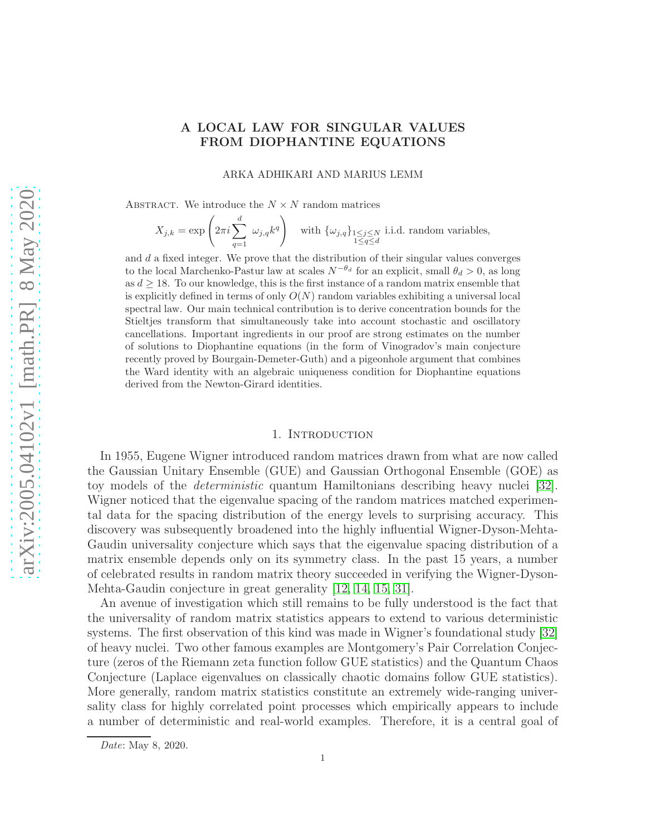# A LOCAL LAW FOR SINGULAR VALUES FROM DIOPHANTINE EQUATIONS

ARKA ADHIKARI AND MARIUS LEMM

ABSTRACT. We introduce the  $N \times N$  random matrices

$$
X_{j,k} = \exp\left(2\pi i \sum_{q=1}^d \omega_{j,q} k^q\right) \quad \text{with } \{\omega_{j,q}\}_{\substack{1 \leq j \leq N \\ 1 \leq q \leq d}} \text{ i.i.d. random variables,}
$$

and  $d$  a fixed integer. We prove that the distribution of their singular values converges to the local Marchenko-Pastur law at scales  $N^{-\theta_d}$  for an explicit, small  $\theta_d > 0$ , as long as  $d \geq 18$ . To our knowledge, this is the first instance of a random matrix ensemble that is explicitly defined in terms of only  $O(N)$  random variables exhibiting a universal local spectral law. Our main technical contribution is to derive concentration bounds for the Stieltjes transform that simultaneously take into account stochastic and oscillatory cancellations. Important ingredients in our proof are strong estimates on the number of solutions to Diophantine equations (in the form of Vinogradov's main conjecture recently proved by Bourgain-Demeter-Guth) and a pigeonhole argument that combines the Ward identity with an algebraic uniqueness condition for Diophantine equations derived from the Newton-Girard identities.

#### 1. INTRODUCTION

In 1955, Eugene Wigner introduced random matrices drawn from what are now called the Gaussian Unitary Ensemble (GUE) and Gaussian Orthogonal Ensemble (GOE) as toy models of the deterministic quantum Hamiltonians describing heavy nuclei [\[32\]](#page-29-0). Wigner noticed that the eigenvalue spacing of the random matrices matched experimental data for the spacing distribution of the energy levels to surprising accuracy. This discovery was subsequently broadened into the highly influential Wigner-Dyson-Mehta-Gaudin universality conjecture which says that the eigenvalue spacing distribution of a matrix ensemble depends only on its symmetry class. In the past 15 years, a number of celebrated results in random matrix theory succeeded in verifying the Wigner-Dyson-Mehta-Gaudin conjecture in great generality [\[12,](#page-28-0) [14,](#page-28-1) [15,](#page-28-2) [31\]](#page-29-1).

An avenue of investigation which still remains to be fully understood is the fact that the universality of random matrix statistics appears to extend to various deterministic systems. The first observation of this kind was made in Wigner's foundational study [\[32\]](#page-29-0) of heavy nuclei. Two other famous examples are Montgomery's Pair Correlation Conjecture (zeros of the Riemann zeta function follow GUE statistics) and the Quantum Chaos Conjecture (Laplace eigenvalues on classically chaotic domains follow GUE statistics). More generally, random matrix statistics constitute an extremely wide-ranging universality class for highly correlated point processes which empirically appears to include a number of deterministic and real-world examples. Therefore, it is a central goal of

Date: May 8, 2020.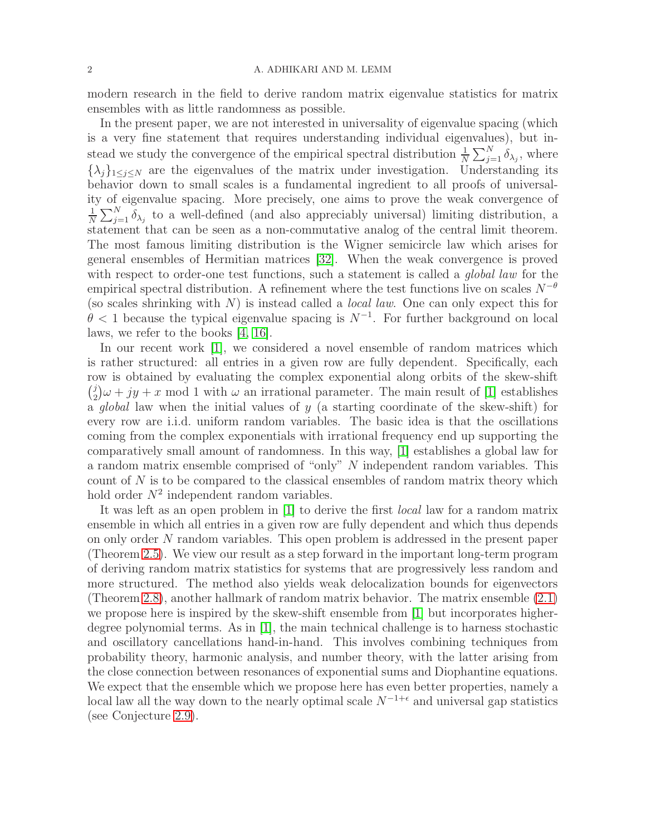modern research in the field to derive random matrix eigenvalue statistics for matrix ensembles with as little randomness as possible.

In the present paper, we are not interested in universality of eigenvalue spacing (which is a very fine statement that requires understanding individual eigenvalues), but instead we study the convergence of the empirical spectral distribution  $\frac{1}{N} \sum_{j=1}^{N} \delta_{\lambda_j}$ , where  $\{\lambda_i\}_{1\leq i\leq N}$  are the eigenvalues of the matrix under investigation. Understanding its behavior down to small scales is a fundamental ingredient to all proofs of universality of eigenvalue spacing. More precisely, one aims to prove the weak convergence of 1  $\frac{1}{N}\sum_{j=1}^{N} \delta_{\lambda_j}$  to a well-defined (and also appreciably universal) limiting distribution, a statement that can be seen as a non-commutative analog of the central limit theorem. The most famous limiting distribution is the Wigner semicircle law which arises for general ensembles of Hermitian matrices [\[32\]](#page-29-0). When the weak convergence is proved with respect to order-one test functions, such a statement is called a *global law* for the empirical spectral distribution. A refinement where the test functions live on scales  $N^{-\theta}$ (so scales shrinking with  $N$ ) is instead called a *local law*. One can only expect this for  $\theta$  < 1 because the typical eigenvalue spacing is  $N^{-1}$ . For further background on local laws, we refer to the books [\[4,](#page-28-3) [16\]](#page-29-2).

In our recent work [\[1\]](#page-28-4), we considered a novel ensemble of random matrices which is rather structured: all entries in a given row are fully dependent. Specifically, each row is obtained by evaluating the complex exponential along orbits of the skew-shift  $\begin{pmatrix} j \\ q \end{pmatrix}$  $\omega_2^j/\omega + jy + x \mod 1$  with  $\omega$  an irrational parameter. The main result of [\[1\]](#page-28-4) establishes  $\overline{a}$  global law when the initial values of y (a starting coordinate of the skew-shift) for every row are i.i.d. uniform random variables. The basic idea is that the oscillations coming from the complex exponentials with irrational frequency end up supporting the comparatively small amount of randomness. In this way, [\[1\]](#page-28-4) establishes a global law for a random matrix ensemble comprised of "only" N independent random variables. This count of N is to be compared to the classical ensembles of random matrix theory which hold order  $N^2$  independent random variables.

It was left as an open problem in [\[1\]](#page-28-4) to derive the first local law for a random matrix ensemble in which all entries in a given row are fully dependent and which thus depends on only order N random variables. This open problem is addressed in the present paper (Theorem [2.5\)](#page-3-0). We view our result as a step forward in the important long-term program of deriving random matrix statistics for systems that are progressively less random and more structured. The method also yields weak delocalization bounds for eigenvectors (Theorem [2.8\)](#page-5-0), another hallmark of random matrix behavior. The matrix ensemble [\(2.1\)](#page-2-0) we propose here is inspired by the skew-shift ensemble from [\[1\]](#page-28-4) but incorporates higherdegree polynomial terms. As in [\[1\]](#page-28-4), the main technical challenge is to harness stochastic and oscillatory cancellations hand-in-hand. This involves combining techniques from probability theory, harmonic analysis, and number theory, with the latter arising from the close connection between resonances of exponential sums and Diophantine equations. We expect that the ensemble which we propose here has even better properties, namely a local law all the way down to the nearly optimal scale  $N^{-1+\epsilon}$  and universal gap statistics (see Conjecture [2.9\)](#page-7-0).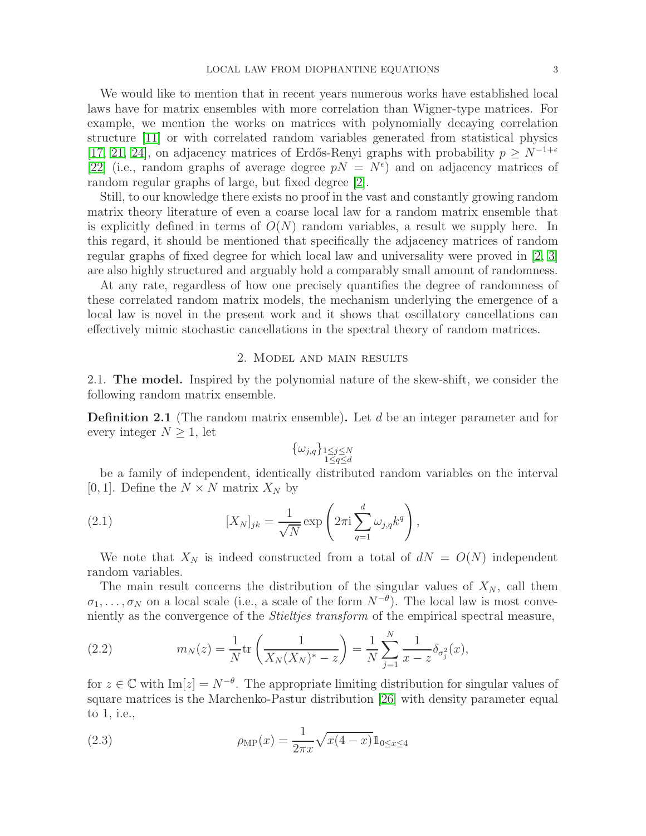We would like to mention that in recent years numerous works have established local laws have for matrix ensembles with more correlation than Wigner-type matrices. For example, we mention the works on matrices with polynomially decaying correlation structure [\[11\]](#page-28-5) or with correlated random variables generated from statistical physics [\[17,](#page-29-3) [21,](#page-29-4) [24\]](#page-29-5), on adjacency matrices of Erdős-Renyi graphs with probability  $p \geq N^{-1+\epsilon}$ [\[22\]](#page-29-6) (i.e., random graphs of average degree  $pN = N^{\epsilon}$ ) and on adjacency matrices of random regular graphs of large, but fixed degree [\[2\]](#page-28-6).

Still, to our knowledge there exists no proof in the vast and constantly growing random matrix theory literature of even a coarse local law for a random matrix ensemble that is explicitly defined in terms of  $O(N)$  random variables, a result we supply here. In this regard, it should be mentioned that specifically the adjacency matrices of random regular graphs of fixed degree for which local law and universality were proved in [\[2,](#page-28-6) [3\]](#page-28-7) are also highly structured and arguably hold a comparably small amount of randomness.

At any rate, regardless of how one precisely quantifies the degree of randomness of these correlated random matrix models, the mechanism underlying the emergence of a local law is novel in the present work and it shows that oscillatory cancellations can effectively mimic stochastic cancellations in the spectral theory of random matrices.

#### 2. Model and main results

2.1. The model. Inspired by the polynomial nature of the skew-shift, we consider the following random matrix ensemble.

**Definition 2.1** (The random matrix ensemble). Let  $d$  be an integer parameter and for every integer  $N \geq 1$ , let

<span id="page-2-0"></span>
$$
\{\omega_{j,q}\}_{\substack{1\leq j\leq N\\ 1\leq q\leq d}}
$$

be a family of independent, identically distributed random variables on the interval [0, 1]. Define the  $N \times N$  matrix  $X_N$  by

(2.1) 
$$
[X_N]_{jk} = \frac{1}{\sqrt{N}} \exp\left(2\pi i \sum_{q=1}^d \omega_{j,q} k^q\right),
$$

We note that  $X_N$  is indeed constructed from a total of  $dN = O(N)$  independent random variables.

The main result concerns the distribution of the singular values of  $X_N$ , call them  $\sigma_1, \ldots, \sigma_N$  on a local scale (i.e., a scale of the form  $N^{-\theta}$ ). The local law is most conveniently as the convergence of the Stieltjes transform of the empirical spectral measure,

(2.2) 
$$
m_N(z) = \frac{1}{N} \text{tr}\left(\frac{1}{X_N(X_N)^* - z}\right) = \frac{1}{N} \sum_{j=1}^N \frac{1}{x - z} \delta_{\sigma_j^2}(x),
$$

for  $z \in \mathbb{C}$  with  $\text{Im}[z] = N^{-\theta}$ . The appropriate limiting distribution for singular values of square matrices is the Marchenko-Pastur distribution [\[26\]](#page-29-7) with density parameter equal to 1, i.e.,

<span id="page-2-1"></span>(2.3) 
$$
\rho_{\rm MP}(x) = \frac{1}{2\pi x} \sqrt{x(4-x)} 1_{0 \le x \le 4}
$$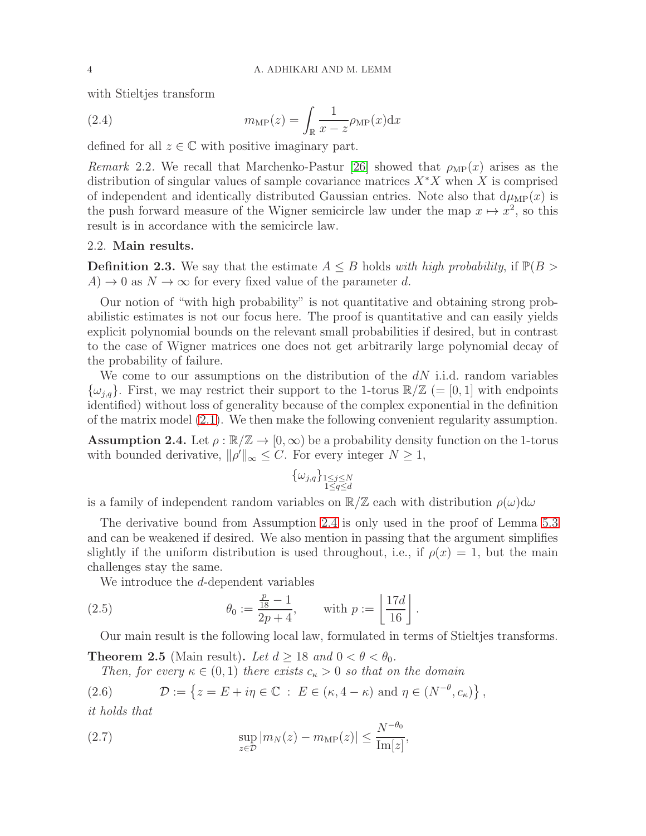with Stieltjes transform

(2.4) 
$$
m_{\text{MP}}(z) = \int_{\mathbb{R}} \frac{1}{x - z} \rho_{\text{MP}}(x) dx
$$

defined for all  $z \in \mathbb{C}$  with positive imaginary part.

Remark 2.2. We recall that Marchenko-Pastur [\[26\]](#page-29-7) showed that  $\rho_{\text{MP}}(x)$  arises as the distribution of singular values of sample covariance matrices  $X^*X$  when X is comprised of independent and identically distributed Gaussian entries. Note also that  $d\mu_{\text{MP}}(x)$  is the push forward measure of the Wigner semicircle law under the map  $x \mapsto x^2$ , so this result is in accordance with the semicircle law.

## 2.2. Main results.

<span id="page-3-2"></span>**Definition 2.3.** We say that the estimate  $A \leq B$  holds with high probability, if  $\mathbb{P}(B >$  $A) \rightarrow 0$  as  $N \rightarrow \infty$  for every fixed value of the parameter d.

Our notion of "with high probability" is not quantitative and obtaining strong probabilistic estimates is not our focus here. The proof is quantitative and can easily yields explicit polynomial bounds on the relevant small probabilities if desired, but in contrast to the case of Wigner matrices one does not get arbitrarily large polynomial decay of the probability of failure.

We come to our assumptions on the distribution of the  $dN$  i.i.d. random variables  $\{\omega_{i,q}\}.$  First, we may restrict their support to the 1-torus  $\mathbb{R}/\mathbb{Z}$  (= [0, 1] with endpoints identified) without loss of generality because of the complex exponential in the definition of the matrix model [\(2.1\)](#page-2-0). We then make the following convenient regularity assumption.

<span id="page-3-1"></span>**Assumption 2.4.** Let  $\rho : \mathbb{R}/\mathbb{Z} \to [0,\infty)$  be a probability density function on the 1-torus with bounded derivative,  $\|\rho'\|_{\infty} \leq C$ . For every integer  $N \geq 1$ ,

$$
\{\omega_{j,q}\}_{\substack{1\leq j\leq N\\1\leq q\leq d}}
$$

is a family of independent random variables on  $\mathbb{R}/\mathbb{Z}$  each with distribution  $\rho(\omega)d\omega$ 

The derivative bound from Assumption [2.4](#page-3-1) is only used in the proof of Lemma [5.3](#page-11-0) and can be weakened if desired. We also mention in passing that the argument simplifies slightly if the uniform distribution is used throughout, i.e., if  $\rho(x) = 1$ , but the main challenges stay the same.

<span id="page-3-4"></span>We introduce the d-dependent variables

(2.5) 
$$
\theta_0 := \frac{\frac{p}{18} - 1}{2p + 4}, \quad \text{with } p := \left\lfloor \frac{17d}{16} \right\rfloor.
$$

Our main result is the following local law, formulated in terms of Stieltjes transforms.

<span id="page-3-0"></span>**Theorem 2.5** (Main result). Let  $d > 18$  and  $0 < \theta < \theta_0$ .

Then, for every  $\kappa \in (0,1)$  there exists  $c_{\kappa} > 0$  so that on the domain

(2.6) 
$$
\mathcal{D} := \left\{ z = E + i\eta \in \mathbb{C} : E \in (\kappa, 4 - \kappa) \text{ and } \eta \in (N^{-\theta}, c_{\kappa}) \right\},\
$$

it holds that

<span id="page-3-3"></span>(2.7) 
$$
\sup_{z \in \mathcal{D}} |m_N(z) - m_{\text{MP}}(z)| \leq \frac{N^{-\theta_0}}{\text{Im}[z]},
$$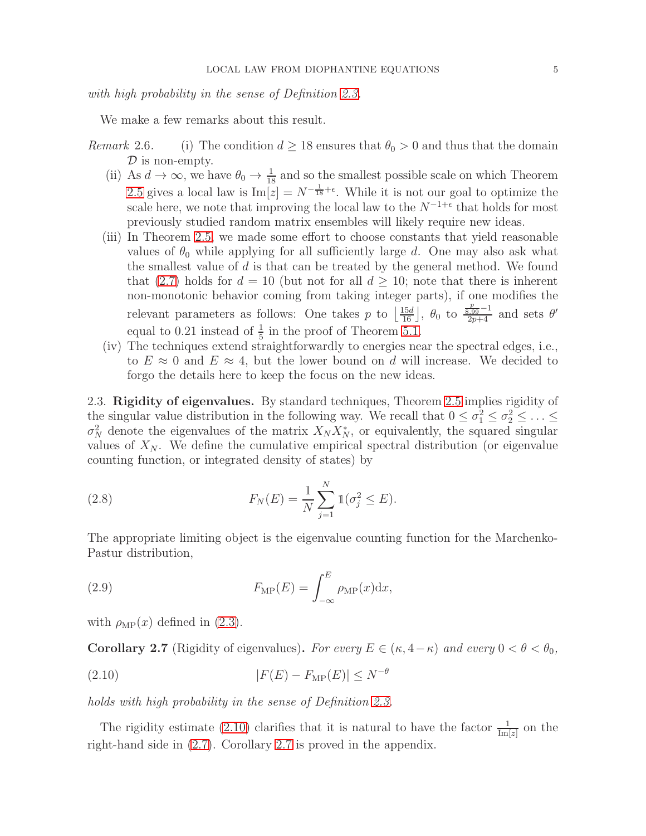with high probability in the sense of Definition [2.3.](#page-3-2)

We make a few remarks about this result.

- Remark 2.6. (i) The condition  $d \geq 18$  ensures that  $\theta_0 > 0$  and thus that the domain  $\mathcal D$  is non-empty.
	- (ii) As  $d \to \infty$ , we have  $\theta_0 \to \frac{1}{18}$  and so the smallest possible scale on which Theorem [2.5](#page-3-0) gives a local law is  $\text{Im}[z] = N^{-\frac{1}{18} + \epsilon}$ . While it is not our goal to optimize the scale here, we note that improving the local law to the  $N^{-1+\epsilon}$  that holds for most previously studied random matrix ensembles will likely require new ideas.
	- (iii) In Theorem [2.5,](#page-3-0) we made some effort to choose constants that yield reasonable values of  $\theta_0$  while applying for all sufficiently large d. One may also ask what the smallest value of  $d$  is that can be treated by the general method. We found that [\(2.7\)](#page-3-3) holds for  $d = 10$  (but not for all  $d \ge 10$ ; note that there is inherent non-monotonic behavior coming from taking integer parts), if one modifies the relevant parameters as follows: One takes p to  $\left[\frac{15d}{16}\right]$ ,  $\theta_0$  to  $\frac{\frac{p}{8.99}-1}{2p+4}$  and sets  $\theta'$ equal to 0.21 instead of  $\frac{1}{5}$  in the proof of Theorem [5.1.](#page-10-0)
	- (iv) The techniques extend straightforwardly to energies near the spectral edges, i.e., to  $E \approx 0$  and  $E \approx 4$ , but the lower bound on d will increase. We decided to forgo the details here to keep the focus on the new ideas.

2.3. Rigidity of eigenvalues. By standard techniques, Theorem [2.5](#page-3-0) implies rigidity of the singular value distribution in the following way. We recall that  $0 \leq \sigma_1^2 \leq \sigma_2^2 \leq \ldots \leq$  $\sigma_N^2$  denote the eigenvalues of the matrix  $X_N X_N^*$ , or equivalently, the squared singular values of  $X_N$ . We define the cumulative empirical spectral distribution (or eigenvalue counting function, or integrated density of states) by

(2.8) 
$$
F_N(E) = \frac{1}{N} \sum_{j=1}^N \mathbb{1}(\sigma_j^2 \le E).
$$

The appropriate limiting object is the eigenvalue counting function for the Marchenko-Pastur distribution,

(2.9) 
$$
F_{\rm MP}(E) = \int_{-\infty}^{E} \rho_{\rm MP}(x) dx,
$$

with  $\rho_{\text{MP}}(x)$  defined in [\(2.3\)](#page-2-1).

<span id="page-4-1"></span>**Corollary 2.7** (Rigidity of eigenvalues). For every  $E \in (\kappa, 4-\kappa)$  and every  $0 < \theta < \theta_0$ ,

<span id="page-4-0"></span>
$$
(2.10) \t\t\t |F(E) - FMP(E)| \le N^{-\theta}
$$

holds with high probability in the sense of Definition [2.3.](#page-3-2)

The rigidity estimate [\(2.10\)](#page-4-0) clarifies that it is natural to have the factor  $\frac{1}{\text{Im}[z]}$  on the right-hand side in [\(2.7\)](#page-3-3). Corollary [2.7](#page-4-1) is proved in the appendix.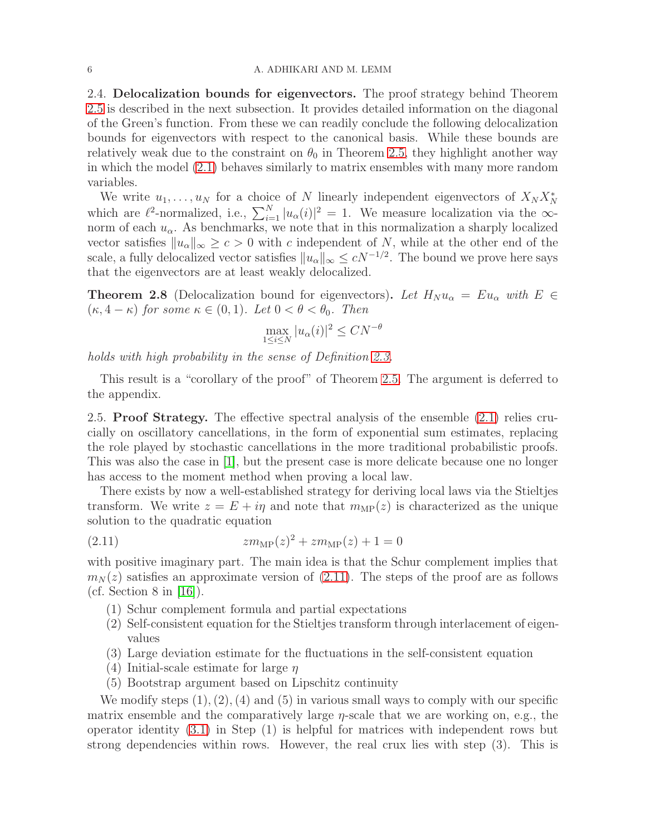2.4. Delocalization bounds for eigenvectors. The proof strategy behind Theorem [2.5](#page-3-0) is described in the next subsection. It provides detailed information on the diagonal of the Green's function. From these we can readily conclude the following delocalization bounds for eigenvectors with respect to the canonical basis. While these bounds are relatively weak due to the constraint on  $\theta_0$  in Theorem [2.5,](#page-3-0) they highlight another way in which the model [\(2.1\)](#page-2-0) behaves similarly to matrix ensembles with many more random variables.

We write  $u_1, \ldots, u_N$  for a choice of N linearly independent eigenvectors of  $X_N X_N^*$ which are  $\ell^2$ -normalized, i.e.,  $\sum_{i=1}^{N} |u_\alpha(i)|^2 = 1$ . We measure localization via the  $\infty$ norm of each  $u_{\alpha}$ . As benchmarks, we note that in this normalization a sharply localized vector satisfies  $||u_{\alpha}||_{\infty} \geq c > 0$  with c independent of N, while at the other end of the scale, a fully delocalized vector satisfies  $||u_\alpha||_\infty \le cN^{-1/2}$ . The bound we prove here says that the eigenvectors are at least weakly delocalized.

<span id="page-5-0"></span>**Theorem 2.8** (Delocalization bound for eigenvectors). Let  $H_N u_\alpha = E u_\alpha$  with  $E \in$  $(\kappa, 4 - \kappa)$  for some  $\kappa \in (0, 1)$ . Let  $0 < \theta < \theta_0$ . Then

$$
\max_{1 \le i \le N} |u_{\alpha}(i)|^2 \le C N^{-\theta}
$$

holds with high probability in the sense of Definition [2.3.](#page-3-2)

This result is a "corollary of the proof" of Theorem [2.5.](#page-3-0) The argument is deferred to the appendix.

2.5. Proof Strategy. The effective spectral analysis of the ensemble [\(2.1\)](#page-2-0) relies crucially on oscillatory cancellations, in the form of exponential sum estimates, replacing the role played by stochastic cancellations in the more traditional probabilistic proofs. This was also the case in [\[1\]](#page-28-4), but the present case is more delicate because one no longer has access to the moment method when proving a local law.

There exists by now a well-established strategy for deriving local laws via the Stieltjes transform. We write  $z = E + i\eta$  and note that  $m_{\text{MP}}(z)$  is characterized as the unique solution to the quadratic equation

(2.11) 
$$
zm_{\text{MP}}(z)^2 + zm_{\text{MP}}(z) + 1 = 0
$$

with positive imaginary part. The main idea is that the Schur complement implies that  $m_N(z)$  satisfies an approximate version of [\(2.11\)](#page-5-1). The steps of the proof are as follows (cf. Section 8 in  $[16]$ ).

- <span id="page-5-1"></span>(1) Schur complement formula and partial expectations
- (2) Self-consistent equation for the Stieltjes transform through interlacement of eigenvalues
- (3) Large deviation estimate for the fluctuations in the self-consistent equation
- (4) Initial-scale estimate for large  $\eta$
- (5) Bootstrap argument based on Lipschitz continuity

We modify steps  $(1), (2), (4)$  and  $(5)$  in various small ways to comply with our specific matrix ensemble and the comparatively large  $\eta$ -scale that we are working on, e.g., the operator identity [\(3.1\)](#page-8-0) in Step (1) is helpful for matrices with independent rows but strong dependencies within rows. However, the real crux lies with step (3). This is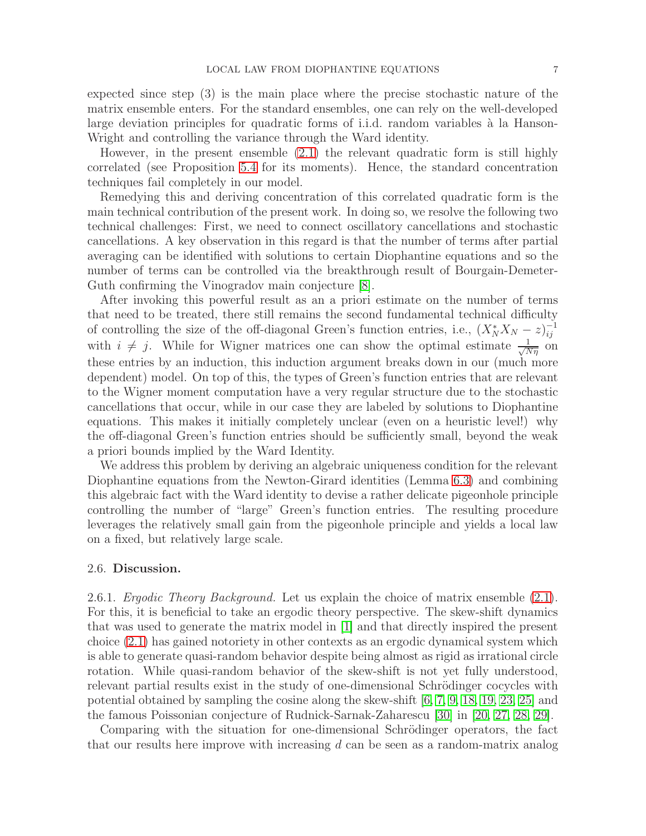expected since step (3) is the main place where the precise stochastic nature of the matrix ensemble enters. For the standard ensembles, one can rely on the well-developed large deviation principles for quadratic forms of i.i.d. random variables à la Hanson-Wright and controlling the variance through the Ward identity.

However, in the present ensemble [\(2.1\)](#page-2-0) the relevant quadratic form is still highly correlated (see Proposition [5.4](#page-11-1) for its moments). Hence, the standard concentration techniques fail completely in our model.

Remedying this and deriving concentration of this correlated quadratic form is the main technical contribution of the present work. In doing so, we resolve the following two technical challenges: First, we need to connect oscillatory cancellations and stochastic cancellations. A key observation in this regard is that the number of terms after partial averaging can be identified with solutions to certain Diophantine equations and so the number of terms can be controlled via the breakthrough result of Bourgain-Demeter-Guth confirming the Vinogradov main conjecture [\[8\]](#page-28-8).

After invoking this powerful result as an a priori estimate on the number of terms that need to be treated, there still remains the second fundamental technical difficulty of controlling the size of the off-diagonal Green's function entries, i.e.,  $(X_N^* X_N - z)_{ij}^{-1}$ with  $i \neq j$ . While for Wigner matrices one can show the optimal estimate  $\frac{1}{\sqrt{N\eta}}$  on these entries by an induction, this induction argument breaks down in our (much more dependent) model. On top of this, the types of Green's function entries that are relevant to the Wigner moment computation have a very regular structure due to the stochastic cancellations that occur, while in our case they are labeled by solutions to Diophantine equations. This makes it initially completely unclear (even on a heuristic level!) why the off-diagonal Green's function entries should be sufficiently small, beyond the weak a priori bounds implied by the Ward Identity.

We address this problem by deriving an algebraic uniqueness condition for the relevant Diophantine equations from the Newton-Girard identities (Lemma [6.3\)](#page-17-0) and combining this algebraic fact with the Ward identity to devise a rather delicate pigeonhole principle controlling the number of "large" Green's function entries. The resulting procedure leverages the relatively small gain from the pigeonhole principle and yields a local law on a fixed, but relatively large scale.

### 2.6. Discussion.

2.6.1. Ergodic Theory Background. Let us explain the choice of matrix ensemble [\(2.1\)](#page-2-0). For this, it is beneficial to take an ergodic theory perspective. The skew-shift dynamics that was used to generate the matrix model in [\[1\]](#page-28-4) and that directly inspired the present choice [\(2.1\)](#page-2-0) has gained notoriety in other contexts as an ergodic dynamical system which is able to generate quasi-random behavior despite being almost as rigid as irrational circle rotation. While quasi-random behavior of the skew-shift is not yet fully understood, relevant partial results exist in the study of one-dimensional Schrödinger cocycles with potential obtained by sampling the cosine along the skew-shift [\[6,](#page-28-9) [7,](#page-28-10) [9,](#page-28-11) [18,](#page-29-8) [19,](#page-29-9) [23,](#page-29-10) [25\]](#page-29-11) and the famous Poissonian conjecture of Rudnick-Sarnak-Zaharescu [\[30\]](#page-29-12) in [\[20,](#page-29-13) [27,](#page-29-14) [28,](#page-29-15) [29\]](#page-29-16).

Comparing with the situation for one-dimensional Schrödinger operators, the fact that our results here improve with increasing d can be seen as a random-matrix analog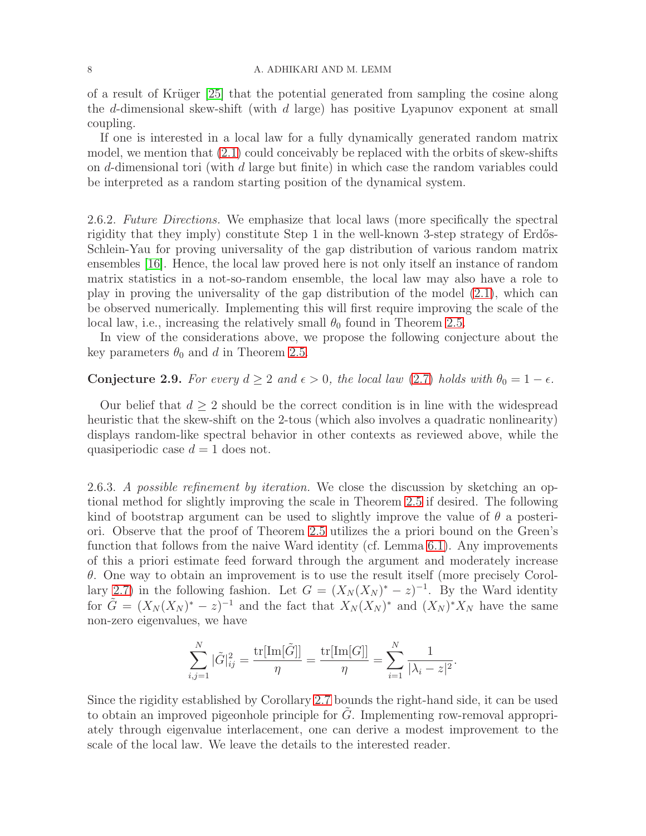#### 8 A. ADHIKARI AND M. LEMM

of a result of Krüger  $[25]$  that the potential generated from sampling the cosine along the d-dimensional skew-shift (with  $d$  large) has positive Lyapunov exponent at small coupling.

If one is interested in a local law for a fully dynamically generated random matrix model, we mention that [\(2.1\)](#page-2-0) could conceivably be replaced with the orbits of skew-shifts on d-dimensional tori (with d large but finite) in which case the random variables could be interpreted as a random starting position of the dynamical system.

2.6.2. Future Directions. We emphasize that local laws (more specifically the spectral rigidity that they imply) constitute Step 1 in the well-known 3-step strategy of Erdős-Schlein-Yau for proving universality of the gap distribution of various random matrix ensembles [\[16\]](#page-29-2). Hence, the local law proved here is not only itself an instance of random matrix statistics in a not-so-random ensemble, the local law may also have a role to play in proving the universality of the gap distribution of the model [\(2.1\)](#page-2-0), which can be observed numerically. Implementing this will first require improving the scale of the local law, i.e., increasing the relatively small  $\theta_0$  found in Theorem [2.5.](#page-3-0)

In view of the considerations above, we propose the following conjecture about the key parameters  $\theta_0$  and d in Theorem [2.5.](#page-3-0)

# <span id="page-7-0"></span>**Conjecture 2.9.** For every  $d \geq 2$  and  $\epsilon > 0$ , the local law [\(2.7\)](#page-3-3) holds with  $\theta_0 = 1 - \epsilon$ .

Our belief that  $d \geq 2$  should be the correct condition is in line with the widespread heuristic that the skew-shift on the 2-tous (which also involves a quadratic nonlinearity) displays random-like spectral behavior in other contexts as reviewed above, while the quasiperiodic case  $d = 1$  does not.

2.6.3. A possible refinement by iteration. We close the discussion by sketching an optional method for slightly improving the scale in Theorem [2.5](#page-3-0) if desired. The following kind of bootstrap argument can be used to slightly improve the value of  $\theta$  a posteriori. Observe that the proof of Theorem [2.5](#page-3-0) utilizes the a priori bound on the Green's function that follows from the naive Ward identity (cf. Lemma [6.1\)](#page-16-0). Any improvements of this a priori estimate feed forward through the argument and moderately increase  $\theta$ . One way to obtain an improvement is to use the result itself (more precisely Corol-lary [2.7\)](#page-4-1) in the following fashion. Let  $G = (X_N(X_N)^* - z)^{-1}$ . By the Ward identity for  $\tilde{G} = (X_N (X_N)^* - z)^{-1}$  and the fact that  $X_N (X_N)^*$  and  $(X_N)^* X_N$  have the same non-zero eigenvalues, we have

$$
\sum_{i,j=1}^{N} |\tilde{G}|_{ij}^{2} = \frac{\text{tr}[\text{Im}[\tilde{G}]]}{\eta} = \frac{\text{tr}[\text{Im}[G]]}{\eta} = \sum_{i=1}^{N} \frac{1}{|\lambda_{i} - z|^{2}}.
$$

Since the rigidity established by Corollary [2.7](#page-4-1) bounds the right-hand side, it can be used to obtain an improved pigeonhole principle for  $\tilde{G}$ . Implementing row-removal appropriately through eigenvalue interlacement, one can derive a modest improvement to the scale of the local law. We leave the details to the interested reader.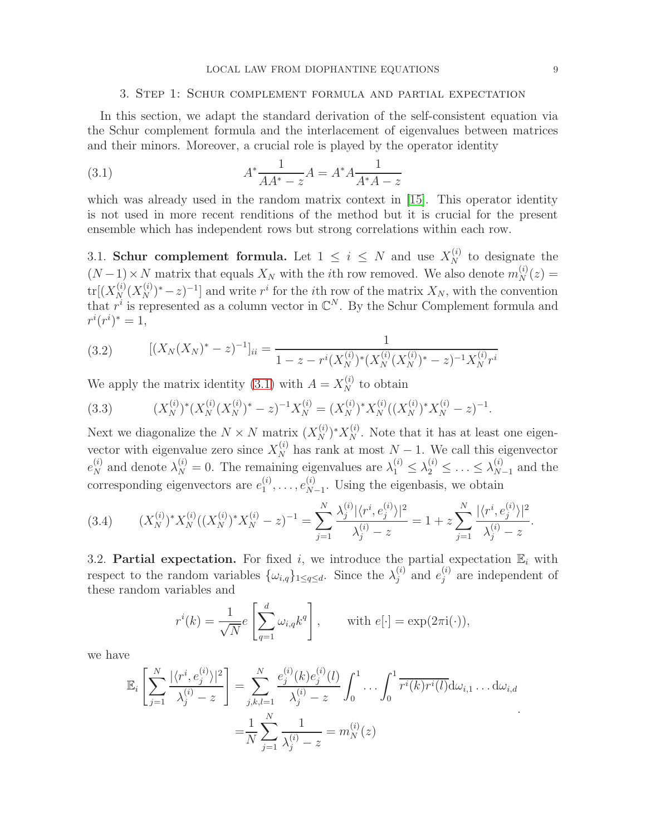#### <span id="page-8-0"></span>3. Step 1: Schur complement formula and partial expectation

In this section, we adapt the standard derivation of the self-consistent equation via the Schur complement formula and the interlacement of eigenvalues between matrices and their minors. Moreover, a crucial role is played by the operator identity

(3.1) 
$$
A^* \frac{1}{AA^* - z} A = A^* A \frac{1}{A^* A - z}
$$

which was already used in the random matrix context in [\[15\]](#page-28-2). This operator identity is not used in more recent renditions of the method but it is crucial for the present ensemble which has independent rows but strong correlations within each row.

3.1. Schur complement formula. Let  $1 \leq i \leq N$  and use  $X_N^{(i)}$  to designate the  $(N-1) \times N$  matrix that equals  $X_N$  with the *i*th row removed. We also denote  $m_N^{(i)}(z) =$  $tr[(X_N^{(i)}(X_N^{(i)})^*-z)^{-1}]$  and write  $r^i$  for the *i*th row of the matrix  $X_N$ , with the convention that  $r^i$  is represented as a column vector in  $\mathbb{C}^N$ . By the Schur Complement formula and  $r^{i}(r^{i})^{*} = 1,$ 

<span id="page-8-1"></span>(3.2) 
$$
[(X_N(X_N)^* - z)^{-1}]_{ii} = \frac{1}{1 - z - r^i (X_N^{(i)})^* (X_N^{(i)} (X_N^{(i)})^* - z)^{-1} X_N^{(i)} r^i}
$$

We apply the matrix identity [\(3.1\)](#page-8-0) with  $A = X_N^{(i)}$  to obtain

(3.3) 
$$
(X_N^{(i)})^* (X_N^{(i)} (X_N^{(i)})^* - z)^{-1} X_N^{(i)} = (X_N^{(i)})^* X_N^{(i)} ((X_N^{(i)})^* X_N^{(i)} - z)^{-1}.
$$

Next we diagonalize the  $N \times N$  matrix  $(X_N^{(i)})^* X_N^{(i)}$ . Note that it has at least one eigenvector with eigenvalue zero since  $X_N^{(i)}$  has rank at most  $N-1$ . We call this eigenvector  $e_N^{(i)}$  and denote  $\lambda_N^{(i)} = 0$ . The remaining eigenvalues are  $\lambda_1^{(i)} \leq \lambda_2^{(i)} \leq \ldots \leq \lambda_N^{(i)}$  $_{N-1}^{(i)}$  and the corresponding eigenvectors are  $e_1^{(i)}$  $e_1^{(i)}, \ldots, e_N^{(i)}$  $\frac{N-1}{N-1}$ . Using the eigenbasis, we obtain

$$
(3.4) \qquad (X_N^{(i)})^* X_N^{(i)} ((X_N^{(i)})^* X_N^{(i)} - z)^{-1} = \sum_{j=1}^N \frac{\lambda_j^{(i)} |\langle r^i, e_j^{(i)} \rangle|^2}{\lambda_j^{(i)} - z} = 1 + z \sum_{j=1}^N \frac{|\langle r^i, e_j^{(i)} \rangle|^2}{\lambda_j^{(i)} - z}.
$$

3.2. Partial expectation. For fixed i, we introduce the partial expectation  $\mathbb{E}_i$  with respect to the random variables  $\{\omega_{i,q}\}_{1 \leq q \leq d}$ . Since the  $\lambda_j^{(i)}$  $_j^{(i)}$  and  $e_j^{(i)}$  $j^{(i)}$  are independent of these random variables and

$$
r^{i}(k) = \frac{1}{\sqrt{N}} e\left[\sum_{q=1}^{d} \omega_{i,q} k^{q}\right], \quad \text{with } e[\cdot] = \exp(2\pi i(\cdot)),
$$

we have

$$
\mathbb{E}_{i}\left[\sum_{j=1}^{N}\frac{|\langle r^{i},e_{j}^{(i)}\rangle|^{2}}{\lambda_{j}^{(i)}-z}\right]=\sum_{j,k,l=1}^{N}\frac{e_{j}^{(i)}(k)e_{j}^{(i)}(l)}{\lambda_{j}^{(i)}-z}\int_{0}^{1}\cdots\int_{0}^{1}\overline{r^{i}(k)r^{i}(l)}d\omega_{i,1}\ldots d\omega_{i,d}
$$

$$
=\frac{1}{N}\sum_{j=1}^{N}\frac{1}{\lambda_{j}^{(i)}-z}=m_{N}^{(i)}(z)
$$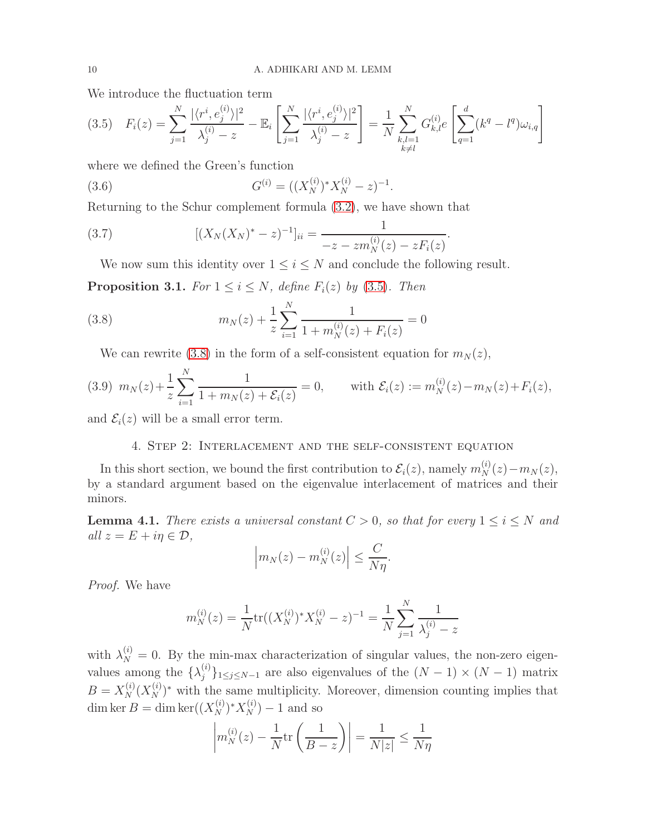We introduce the fluctuation term

<span id="page-9-0"></span>
$$
(3.5) \quad F_i(z) = \sum_{j=1}^N \frac{|\langle r^i, e_j^{(i)} \rangle|^2}{\lambda_j^{(i)} - z} - \mathbb{E}_i \left[ \sum_{j=1}^N \frac{|\langle r^i, e_j^{(i)} \rangle|^2}{\lambda_j^{(i)} - z} \right] = \frac{1}{N} \sum_{\substack{k,l=1 \ k \neq l}}^N G_{k,l}^{(i)} e \left[ \sum_{q=1}^d (k^q - l^q) \omega_{i,q} \right]
$$

where we defined the Green's function

<span id="page-9-3"></span>(3.6) 
$$
G^{(i)} = ((X_N^{(i)})^* X_N^{(i)} - z)^{-1}.
$$

Returning to the Schur complement formula [\(3.2\)](#page-8-1), we have shown that

(3.7) 
$$
[(X_N(X_N)^*-z)^{-1}]_{ii} = \frac{1}{-z-zm_N^{(i)}(z)-zF_i(z)}.
$$

<span id="page-9-5"></span>We now sum this identity over  $1 \leq i \leq N$  and conclude the following result.

**Proposition 3.1.** For  $1 \leq i \leq N$ , define  $F_i(z)$  by [\(3.5\)](#page-9-0). Then

(3.8) 
$$
m_N(z) + \frac{1}{z} \sum_{i=1}^N \frac{1}{1 + m_N^{(i)}(z) + F_i(z)} = 0
$$

<span id="page-9-1"></span>We can rewrite [\(3.8\)](#page-9-1) in the form of a self-consistent equation for  $m_N(z)$ ,

<span id="page-9-4"></span>
$$
(3.9) \ \ m_N(z) + \frac{1}{z} \sum_{i=1}^N \frac{1}{1 + m_N(z) + \mathcal{E}_i(z)} = 0, \qquad \text{with } \mathcal{E}_i(z) := m_N^{(i)}(z) - m_N(z) + F_i(z),
$$

and  $\mathcal{E}_i(z)$  will be a small error term.

## 4. Step 2: Interlacement and the self-consistent equation

In this short section, we bound the first contribution to  $\mathcal{E}_i(z)$ , namely  $m_N^{(i)}(z) - m_N(z)$ , by a standard argument based on the eigenvalue interlacement of matrices and their minors.

<span id="page-9-2"></span>**Lemma 4.1.** There exists a universal constant  $C > 0$ , so that for every  $1 \leq i \leq N$  and all  $z = E + i\eta \in \mathcal{D}$ ,

$$
\left| m_N(z) - m_N^{(i)}(z) \right| \le \frac{C}{N\eta}.
$$

Proof. We have

$$
m_N^{(i)}(z) = \frac{1}{N} \text{tr}((X_N^{(i)})^* X_N^{(i)} - z)^{-1} = \frac{1}{N} \sum_{j=1}^N \frac{1}{\lambda_j^{(i)} - z}
$$

with  $\lambda_N^{(i)} = 0$ . By the min-max characterization of singular values, the non-zero eigenvalues among the  $\{\lambda_j^{(i)}\}$  ${j \choose j}_{1 \leq j \leq N-1}$  are also eigenvalues of the  $(N-1) \times (N-1)$  matrix  $B = X_N^{(i)}(X_N^{(i)})^*$  with the same multiplicity. Moreover, dimension counting implies that dim ker  $B = \dim \ker((X_N^{(i)})^* X_N^{(i)}) - 1$  and so

$$
\left| m_N^{(i)}(z) - \frac{1}{N} \text{tr} \left( \frac{1}{B - z} \right) \right| = \frac{1}{N|z|} \le \frac{1}{N\eta}
$$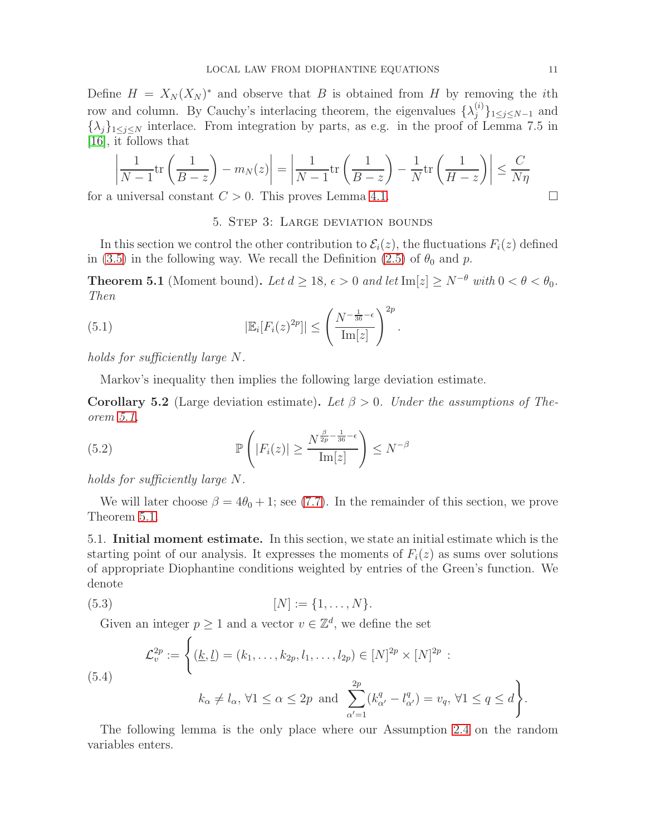Define  $H = X_N(X_N)^*$  and observe that B is obtained from H by removing the *i*th row and column. By Cauchy's interlacing theorem, the eigenvalues  $\{\lambda_j^{(i)}\}$  $\{j^{(i)}\}_{1 \leq j \leq N-1}$  and  $\{\lambda_j\}_{1\leq j\leq N}$  interlace. From integration by parts, as e.g. in the proof of Lemma 7.5 in [\[16\]](#page-29-2), it follows that

$$
\left| \frac{1}{N-1} \text{tr} \left( \frac{1}{B-z} \right) - m_N(z) \right| = \left| \frac{1}{N-1} \text{tr} \left( \frac{1}{B-z} \right) - \frac{1}{N} \text{tr} \left( \frac{1}{H-z} \right) \right| \le \frac{C}{N\eta}
$$

for a universal constant  $C > 0$ . This proves Lemma [4.1.](#page-9-2)

## 5. Step 3: Large deviation bounds

In this section we control the other contribution to  $\mathcal{E}_i(z)$ , the fluctuations  $F_i(z)$  defined in [\(3.5\)](#page-9-0) in the following way. We recall the Definition [\(2.5\)](#page-3-4) of  $\theta_0$  and p.

<span id="page-10-0"></span>**Theorem 5.1** (Moment bound). Let  $d \ge 18$ ,  $\epsilon > 0$  and let Im[z]  $\ge N^{-\theta}$  with  $0 < \theta < \theta_0$ . Then

.

(5.1) 
$$
|\mathbb{E}_{i}[F_{i}(z)^{2p}]| \leq \left(\frac{N^{-\frac{1}{36}-\epsilon}}{\mathrm{Im}[z]}\right)^{2p}
$$

holds for sufficiently large N.

Markov's inequality then implies the following large deviation estimate.

<span id="page-10-2"></span>**Corollary 5.2** (Large deviation estimate). Let  $\beta > 0$ . Under the assumptions of Theorem [5.1,](#page-10-0)

(5.2) 
$$
\mathbb{P}\left(|F_i(z)| \ge \frac{N^{\frac{\beta}{2p} - \frac{1}{36} - \epsilon}}{\mathrm{Im}[z]}\right) \le N^{-\beta}
$$

holds for sufficiently large N.

We will later choose  $\beta = 4\theta_0 + 1$ ; see [\(7.7\)](#page-23-0). In the remainder of this section, we prove Theorem [5.1.](#page-10-0)

5.1. Initial moment estimate. In this section, we state an initial estimate which is the starting point of our analysis. It expresses the moments of  $F_i(z)$  as sums over solutions of appropriate Diophantine conditions weighted by entries of the Green's function. We denote

(5.3) 
$$
[N] := \{1, \ldots, N\}.
$$

Given an integer  $p \geq 1$  and a vector  $v \in \mathbb{Z}^d$ , we define the set

<span id="page-10-1"></span>(5.4)  

$$
\mathcal{L}_v^{2p} := \left\{ (\underline{k}, \underline{l}) = (k_1, \dots, k_{2p}, l_1, \dots, l_{2p}) \in [N]^{2p} \times [N]^{2p} : \right\}
$$

$$
k_\alpha \neq l_\alpha, \forall 1 \leq \alpha \leq 2p \text{ and } \sum_{\alpha'=1}^{2p} (k_{\alpha'}^q - l_{\alpha'}^q) = v_q, \forall 1 \leq q \leq d \right\}.
$$

The following lemma is the only place where our Assumption [2.4](#page-3-1) on the random variables enters.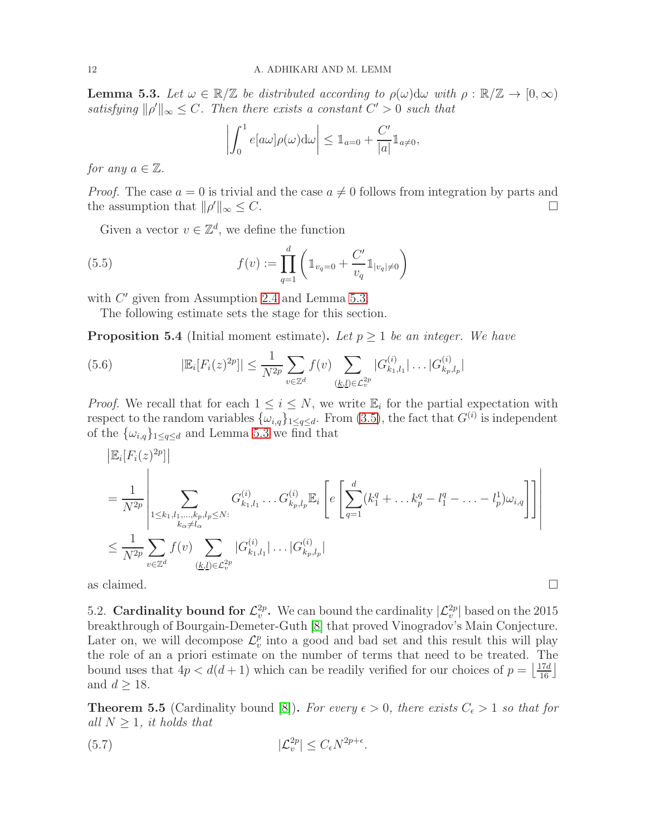<span id="page-11-0"></span>**Lemma 5.3.** Let  $\omega \in \mathbb{R}/\mathbb{Z}$  be distributed according to  $\rho(\omega)$ d $\omega$  with  $\rho : \mathbb{R}/\mathbb{Z} \to [0, \infty)$ satisfying  $\|\rho'\|_{\infty} \leq C$ . Then there exists a constant  $C' > 0$  such that

<span id="page-11-4"></span>
$$
\left| \int_0^1 e[a\omega] \rho(\omega) d\omega \right| \leq \mathbb{1}_{a=0} + \frac{C'}{|a|} \mathbb{1}_{a \neq 0},
$$

for any  $a \in \mathbb{Z}$ .

*Proof.* The case  $a = 0$  is trivial and the case  $a \neq 0$  follows from integration by parts and the assumption that  $||a'||_{\infty} \leq C$ . the assumption that  $\|\rho'\|_{\infty} \leq C$ .  $\|x\|_{\infty} \leq C.$ 

Given a vector  $v \in \mathbb{Z}^d$ , we define the function

(5.5) 
$$
f(v) := \prod_{q=1}^{d} \left( \mathbb{1}_{v_q=0} + \frac{C'}{v_q} \mathbb{1}_{|v_q| \neq 0} \right)
$$

with  $C'$  given from Assumption [2.4](#page-3-1) and Lemma [5.3.](#page-11-0)

The following estimate sets the stage for this section.

<span id="page-11-1"></span>**Proposition 5.4** (Initial moment estimate). Let  $p \geq 1$  be an integer. We have

(5.6) 
$$
|\mathbb{E}_{i}[F_{i}(z)^{2p}]| \leq \frac{1}{N^{2p}} \sum_{v \in \mathbb{Z}^{d}} f(v) \sum_{(\underline{k},\underline{l}) \in \mathcal{L}_{v}^{2p}} |G_{k_{1},l_{1}}^{(i)}| \dots |G_{k_{p},l_{p}}^{(i)}|
$$

*Proof.* We recall that for each  $1 \leq i \leq N$ , we write  $\mathbb{E}_i$  for the partial expectation with respect to the random variables  $\{\omega_{i,q}\}_{1 \leq q \leq d}$ . From [\(3.5\)](#page-9-0), the fact that  $G^{(i)}$  is independent of the  $\{\omega_{i,q}\}_{1 \leq q \leq d}$  and Lemma [5.3](#page-11-0) we find that

$$
\begin{split}\n& \left| \mathbb{E}_i[F_i(z)^{2p}] \right| \\
&= \frac{1}{N^{2p}} \left| \sum_{\substack{1 \leq k_1, l_1, \ldots, k_p, l_p \leq N:\\k_\alpha \neq l_\alpha}} G_{k_1, l_1}^{(i)} \ldots G_{k_p, l_p}^{(i)} \mathbb{E}_i \left[ e \left[ \sum_{q=1}^d (k_1^q + \ldots k_p^q - l_1^q - \ldots - l_p^1) \omega_{i,q} \right] \right] \right| \\
& \leq \frac{1}{N^{2p}} \sum_{v \in \mathbb{Z}^d} f(v) \sum_{(\underline{k}, \underline{l}) \in \mathcal{L}_v^{2p}} |G_{k_1, l_1}^{(i)}| \ldots |G_{k_p, l_p}^{(i)}|\n\end{split}
$$

as claimed.  $\Box$ 

5.2. Cardinality bound for  $\mathcal{L}_v^{2p}$ . We can bound the cardinality  $|\mathcal{L}_v^{2p}|$  based on the 2015 breakthrough of Bourgain-Demeter-Guth [\[8\]](#page-28-8) that proved Vinogradov's Main Conjecture. Later on, we will decompose  $\mathcal{L}_v^p$  into a good and bad set and this result this will play the role of an a priori estimate on the number of terms that need to be treated. The bound uses that  $4p < d(d+1)$  which can be readily verified for our choices of  $p = \lfloor \frac{17d}{16} \rfloor$ and  $d \geq 18$ .

<span id="page-11-3"></span>**Theorem 5.5** (Cardinality bound [\[8\]](#page-28-8)). For every  $\epsilon > 0$ , there exists  $C_{\epsilon} > 1$  so that for all  $N \geq 1$ , it holds that

<span id="page-11-2"></span>.

$$
|\mathcal{L}_v^{2p}| \le C_\epsilon N^{2p+\epsilon}
$$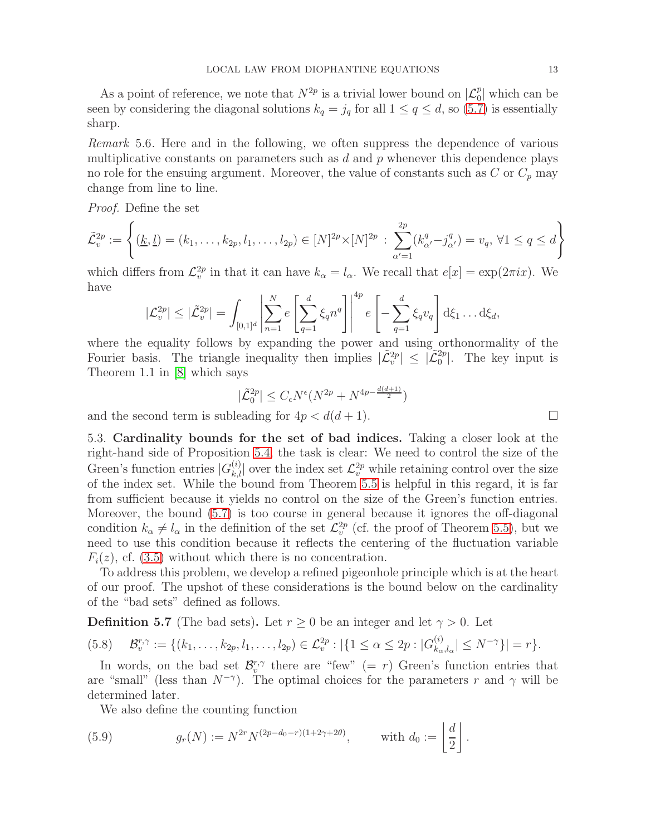As a point of reference, we note that  $N^{2p}$  is a trivial lower bound on  $\mathcal{L}_0^p$  which can be seen by considering the diagonal solutions  $k_q = j_q$  for all  $1 \leq q \leq d$ , so [\(5.7\)](#page-11-2) is essentially sharp.

Remark 5.6. Here and in the following, we often suppress the dependence of various multiplicative constants on parameters such as  $d$  and  $p$  whenever this dependence plays no role for the ensuing argument. Moreover, the value of constants such as  $C$  or  $C_p$  may change from line to line.

Proof. Define the set

$$
\tilde{\mathcal{L}}_v^{2p} := \left\{ (\underline{k}, \underline{l}) = (k_1, \dots, k_{2p}, l_1, \dots, l_{2p}) \in [N]^{2p} \times [N]^{2p} : \sum_{\alpha'=1}^{2p} (k_{\alpha'}^q - j_{\alpha'}^q) = v_q, \forall 1 \le q \le d \right\}
$$

which differs from  $\mathcal{L}_v^{2p}$  in that it can have  $k_\alpha = l_\alpha$ . We recall that  $e[x] = \exp(2\pi ix)$ . We have

$$
|\mathcal{L}_v^{2p}| \leq |\tilde{\mathcal{L}}_v^{2p}| = \int_{[0,1]^d} \left| \sum_{n=1}^N e \left[ \sum_{q=1}^d \xi_q n^q \right] \right|^{4p} e \left[ -\sum_{q=1}^d \xi_q v_q \right] d\xi_1 \dots d\xi_d,
$$

where the equality follows by expanding the power and using orthonormality of the Fourier basis. The triangle inequality then implies  $|\tilde{\mathcal{L}}_v^{2p}| \leq |\tilde{\mathcal{L}}_0^{2p}|$ . The key input is Theorem 1.1 in [\[8\]](#page-28-8) which says

$$
|\tilde{\mathcal{L}}_0^{2p}| \le C_{\epsilon} N^{\epsilon} (N^{2p} + N^{4p - \frac{d(d+1)}{2}})
$$

and the second term is subleading for  $4p < d(d+1)$ .

5.3. Cardinality bounds for the set of bad indices. Taking a closer look at the right-hand side of Proposition [5.4,](#page-11-1) the task is clear: We need to control the size of the Green's function entries  $|G_{k,l}^{(i)}|$  over the index set  $\mathcal{L}_v^{2p}$  while retaining control over the size of the index set. While the bound from Theorem [5.5](#page-11-3) is helpful in this regard, it is far from sufficient because it yields no control on the size of the Green's function entries. Moreover, the bound [\(5.7\)](#page-11-2) is too course in general because it ignores the off-diagonal condition  $k_{\alpha} \neq l_{\alpha}$  in the definition of the set  $\mathcal{L}_{v}^{2p}$  (cf. the proof of Theorem [5.5\)](#page-11-3), but we need to use this condition because it reflects the centering of the fluctuation variable  $F_i(z)$ , cf. [\(3.5\)](#page-9-0) without which there is no concentration.

To address this problem, we develop a refined pigeonhole principle which is at the heart of our proof. The upshot of these considerations is the bound below on the cardinality of the "bad sets" defined as follows.

<span id="page-12-0"></span>**Definition 5.7** (The bad sets). Let  $r \geq 0$  be an integer and let  $\gamma > 0$ . Let

$$
(5.8) \quad \mathcal{B}_{v}^{r,\gamma} := \{ (k_1,\ldots,k_{2p},l_1,\ldots,l_{2p}) \in \mathcal{L}_{v}^{2p} : |\{ 1 \leq \alpha \leq 2p : |G_{k_{\alpha},l_{\alpha}}^{(i)}| \leq N^{-\gamma} \}| = r \}.
$$

In words, on the bad set  $\mathcal{B}_{v}^{r,\gamma}$  there are "few" (= r) Green's function entries that are "small" (less than  $N^{-\gamma}$ ). The optimal choices for the parameters r and  $\gamma$  will be determined later.

We also define the counting function

(5.9) 
$$
g_r(N) := N^{2r} N^{(2p - d_0 - r)(1 + 2\gamma + 2\theta)}, \quad \text{with } d_0 := \left\lfloor \frac{d}{2} \right\rfloor.
$$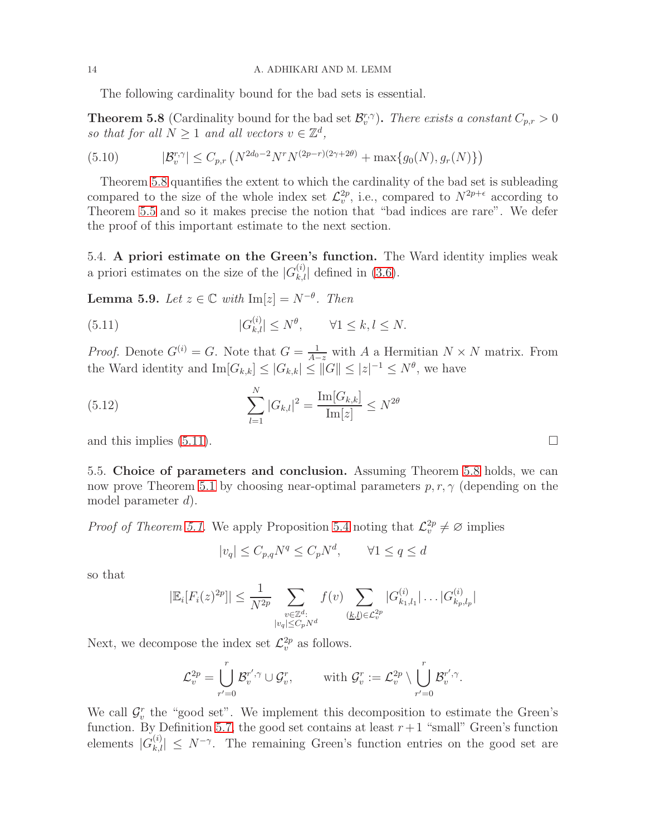The following cardinality bound for the bad sets is essential.

<span id="page-13-0"></span>**Theorem 5.8** (Cardinality bound for the bad set  $\mathcal{B}_v^{r,\gamma}$ ). There exists a constant  $C_{p,r} > 0$ so that for all  $N \geq 1$  and all vectors  $v \in \mathbb{Z}^d$ ,

(5.10) 
$$
|\mathcal{B}_v^{r,\gamma}| \leq C_{p,r} \left( N^{2d_0-2} N^r N^{(2p-r)(2\gamma+2\theta)} + \max\{g_0(N), g_r(N)\}\right)
$$

Theorem [5.8](#page-13-0) quantifies the extent to which the cardinality of the bad set is subleading compared to the size of the whole index set  $\mathcal{L}_v^{2p}$ , i.e., compared to  $N^{2p+\epsilon}$  according to Theorem [5.5](#page-11-3) and so it makes precise the notion that "bad indices are rare". We defer the proof of this important estimate to the next section.

5.4. A priori estimate on the Green's function. The Ward identity implies weak a priori estimates on the size of the  $|G_{k,l}^{(i)}|$  defined in [\(3.6\)](#page-9-3).

<span id="page-13-2"></span>**Lemma 5.9.** Let  $z \in \mathbb{C}$  with  $\text{Im}[z] = N^{-\theta}$ . Then

<span id="page-13-1"></span> $(5.11)$  $\vert k,l\vert \leq N^{\theta}, \qquad \forall 1\leq k,l\leq N.$ 

*Proof.* Denote  $G^{(i)} = G$ . Note that  $G = \frac{1}{A-z}$  with A a Hermitian  $N \times N$  matrix. From the Ward identity and  $\text{Im}[G_{k,k}] \leq |G_{k,k}| \leq ||G|| \leq |z|^{-1} \leq N^{\theta}$ , we have

(5.12) 
$$
\sum_{l=1}^{N} |G_{k,l}|^2 = \frac{\text{Im}[G_{k,k}]}{\text{Im}[z]} \leq N^{2\theta}
$$

and this implies  $(5.11)$ .

5.5. Choice of parameters and conclusion. Assuming Theorem [5.8](#page-13-0) holds, we can now prove Theorem [5.1](#page-10-0) by choosing near-optimal parameters  $p, r, \gamma$  (depending on the model parameter  $d$ ).

*Proof of Theorem [5.1.](#page-10-0)* We apply Proposition [5.4](#page-11-1) noting that  $\mathcal{L}_v^{2p} \neq \emptyset$  implies

$$
|v_q| \le C_{p,q} N^q \le C_p N^d, \qquad \forall 1 \le q \le d
$$

so that

$$
|\mathbb{E}_{i}[F_{i}(z)^{2p}]| \leq \frac{1}{N^{2p}} \sum_{\substack{v \in \mathbb{Z}^{d}: \\ |v_{q}| \leq C_{p}N^{d}}} f(v) \sum_{\substack{(k,l) \in \mathcal{L}^{2p}_{v}}} |G_{k_{1},l_{1}}^{(i)}| \dots | G_{k_{p},l_{p}}^{(i)}|
$$

Next, we decompose the index set  $\mathcal{L}_v^{2p}$  as follows.

$$
\mathcal{L}_v^{2p} = \bigcup_{r'=0}^r \mathcal{B}_v^{r',\gamma} \cup \mathcal{G}_v^r, \qquad \text{ with } \mathcal{G}_v^r := \mathcal{L}_v^{2p} \setminus \bigcup_{r'=0}^r \mathcal{B}_v^{r',\gamma}.
$$

We call  $\mathcal{G}_{v}^{r}$  the "good set". We implement this decomposition to estimate the Green's function. By Definition [5.7,](#page-12-0) the good set contains at least  $r+1$  "small" Green's function elements  $|G_{k,l}^{(i)}| \leq N^{-\gamma}$ . The remaining Green's function entries on the good set are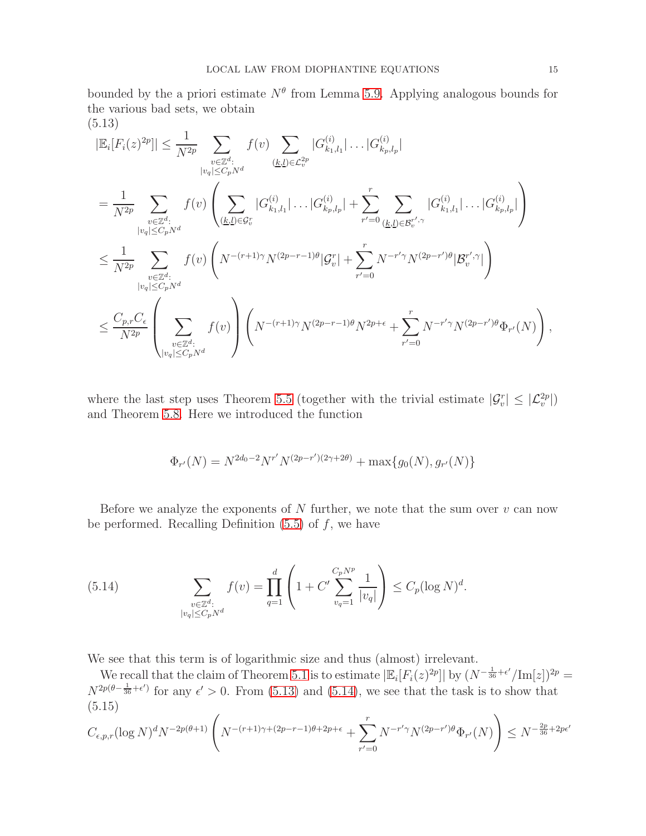bounded by the a priori estimate  $N^{\theta}$  from Lemma [5.9.](#page-13-2) Applying analogous bounds for the various bad sets, we obtain (5.13)

<span id="page-14-0"></span>
$$
|\mathbb{E}_{i}[F_{i}(z)^{2p}]| \leq \frac{1}{N^{2p}} \sum_{\substack{v \in \mathbb{Z}^{d}: \\ |v_{q}| \leq C_{p}N^{d}}} f(v) \sum_{\substack{(k,l) \in \mathcal{L}_{v}^{2p} \\ (k,l) \in \mathcal{G}_{v}}} |G_{k_{1},l_{1}}^{(i)}| \dots | G_{k_{p},l_{p}}^{(i)}|
$$
\n
$$
= \frac{1}{N^{2p}} \sum_{\substack{v \in \mathbb{Z}^{d}: \\ |v_{q}| \leq C_{p}N^{d}}} f(v) \left( \sum_{\substack{(k,l) \in \mathcal{G}_{v}^{r} \\ (k,l) \in \mathcal{G}_{v}}} |G_{k_{1},l_{1}}^{(i)}| \dots | G_{k_{p},l_{p}}^{(i)}| + \sum_{r'=0}^{r} \sum_{\substack{(k,l) \in \mathcal{B}_{v}^{r'} \\ (k,l) \in \mathcal{G}_{r}}} |G_{k_{1},l_{1}}^{(i)}| \dots | G_{k_{p},l_{p}}^{(i)}| \right)
$$
\n
$$
\leq \frac{1}{N^{2p}} \sum_{\substack{v \in \mathbb{Z}^{d}: \\ |v_{q}| \leq C_{p}N^{d}}} f(v) \left( N^{-(r+1)\gamma} N^{(2p-r-1)\theta} |G_{v}^{r}| + \sum_{r'=0}^{r} N^{-r'\gamma} N^{(2p-r')\theta} |B_{v}^{r'} \gamma| \right)
$$
\n
$$
\leq \frac{C_{p,r}C_{\epsilon}}{N^{2p}} \left( \sum_{\substack{v \in \mathbb{Z}^{d}: \\ |v_{q}| \leq C_{p}N^{d}}} f(v) \right) \left( N^{-(r+1)\gamma} N^{(2p-r-1)\theta} N^{2p+\epsilon} + \sum_{r'=0}^{r} N^{-r'\gamma} N^{(2p-r')\theta} \Phi_{r'}(N) \right)
$$

where the last step uses Theorem [5.5](#page-11-3) (together with the trivial estimate  $|\mathcal{G}_v^r| \leq |\mathcal{L}_v^{2p}|$ ) and Theorem [5.8.](#page-13-0) Here we introduced the function

$$
\Phi_{r'}(N) = N^{2d_0 - 2} N^{r'} N^{(2p - r')(2\gamma + 2\theta)} + \max\{g_0(N), g_{r'}(N)\}\
$$

Before we analyze the exponents of  $N$  further, we note that the sum over  $v$  can now be performed. Recalling Definition  $(5.5)$  of  $f$ , we have

<span id="page-14-1"></span>(5.14) 
$$
\sum_{\substack{v \in \mathbb{Z}^d:\\|v_q| \le C_p N^d}} f(v) = \prod_{q=1}^d \left(1 + C' \sum_{v_q=1}^{C_p N^p} \frac{1}{|v_q|}\right) \le C_p (\log N)^d.
$$

We see that this term is of logarithmic size and thus (almost) irrelevant.

We recall that the claim of Theorem [5.1](#page-10-0) is to estimate  $|\mathbb{E}_i[F_i(z)^{2p}]|$  by  $(N^{-\frac{1}{36}+\epsilon'}/\mathrm{Im}[z])^{2p}$  $N^{2p(\theta-\frac{1}{36}+\epsilon')}$  for any  $\epsilon' > 0$ . From [\(5.13\)](#page-14-0) and [\(5.14\)](#page-14-1), we see that the task is to show that (5.15)

<span id="page-14-2"></span>
$$
C_{\epsilon,p,r} (\log N)^d N^{-2p(\theta+1)} \left( N^{-(r+1)\gamma + (2p-r-1)\theta + 2p + \epsilon} + \sum_{r'=0}^r N^{-r'\gamma} N^{(2p-r')\theta} \Phi_{r'}(N) \right) \le N^{-\frac{2p}{36} + 2p\epsilon'}
$$

,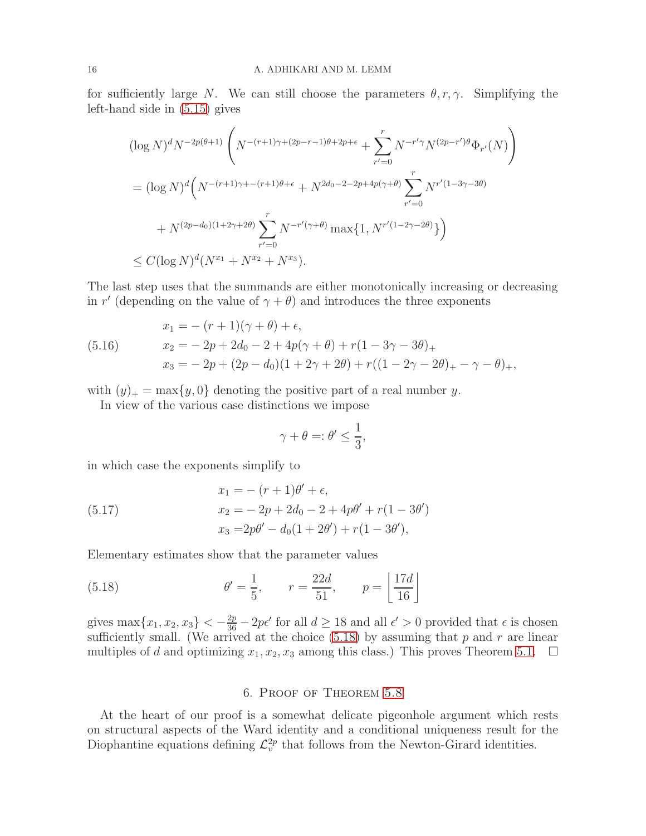for sufficiently large N. We can still choose the parameters  $\theta, r, \gamma$ . Simplifying the left-hand side in [\(5.15\)](#page-14-2) gives

$$
(\log N)^d N^{-2p(\theta+1)} \left( N^{-(r+1)\gamma + (2p-r-1)\theta + 2p + \epsilon} + \sum_{r'=0}^r N^{-r'\gamma} N^{(2p-r')\theta} \Phi_{r'}(N) \right)
$$
  
=  $(\log N)^d \left( N^{-(r+1)\gamma + -(r+1)\theta + \epsilon} + N^{2d_0 - 2 - 2p + 4p(\gamma + \theta)} \sum_{r'=0}^r N^{r'(1-3\gamma - 3\theta)} \right)$   
+  $N^{(2p-d_0)(1+2\gamma+2\theta)} \sum_{r'=0}^r N^{-r'(\gamma+\theta)} \max\{1, N^{r'(1-2\gamma-2\theta)}\}\right)$   
 $\le C (\log N)^d (N^{x_1} + N^{x_2} + N^{x_3}).$ 

The last step uses that the summands are either monotonically increasing or decreasing in r' (depending on the value of  $\gamma + \theta$ ) and introduces the three exponents

(5.16) 
$$
x_1 = -(r+1)(\gamma + \theta) + \epsilon,
$$

$$
x_2 = -2p + 2d_0 - 2 + 4p(\gamma + \theta) + r(1 - 3\gamma - 3\theta)_+
$$

$$
x_3 = -2p + (2p - d_0)(1 + 2\gamma + 2\theta) + r((1 - 2\gamma - 2\theta)_+ - \gamma - \theta)_+,
$$

with  $(y)_+$  = max $\{y, 0\}$  denoting the positive part of a real number y.

In view of the various case distinctions we impose

$$
\gamma + \theta =: \theta' \le \frac{1}{3},
$$

in which case the exponents simplify to

(5.17) 
$$
x_1 = -(r+1)\theta' + \epsilon,
$$

$$
x_2 = -2p + 2d_0 - 2 + 4p\theta' + r(1 - 3\theta')
$$

$$
x_3 = 2p\theta' - d_0(1 + 2\theta') + r(1 - 3\theta'),
$$

Elementary estimates show that the parameter values

(5.18) 
$$
\theta' = \frac{1}{5}, \qquad r = \frac{22d}{51}, \qquad p = \left\lfloor \frac{17d}{16} \right\rfloor
$$

gives  $\max\{x_1, x_2, x_3\} < -\frac{2p}{36} - 2p\epsilon'$  for all  $d \ge 18$  and all  $\epsilon' > 0$  provided that  $\epsilon$  is chosen sufficiently small. (We arrived at the choice  $(5.18)$  by assuming that p and r are linear multiples of d and optimizing  $x_1, x_2, x_3$  among this class.) This proves Theorem [5.1.](#page-10-0)  $\Box$ 

## <span id="page-15-0"></span>6. Proof of Theorem [5.8](#page-13-0)

At the heart of our proof is a somewhat delicate pigeonhole argument which rests on structural aspects of the Ward identity and a conditional uniqueness result for the Diophantine equations defining  $\mathcal{L}_v^{2p}$  that follows from the Newton-Girard identities.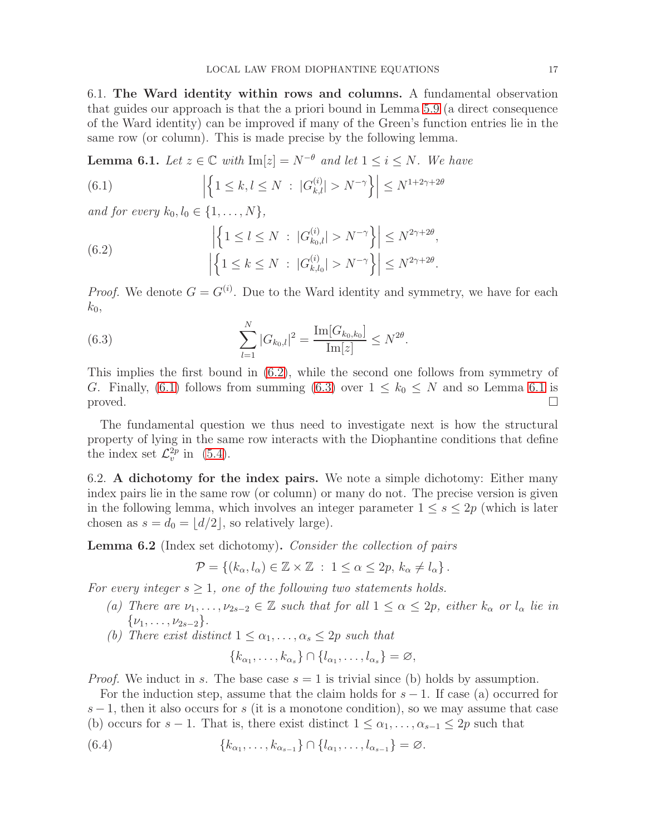6.1. The Ward identity within rows and columns. A fundamental observation that guides our approach is that the a priori bound in Lemma [5.9](#page-13-2) (a direct consequence of the Ward identity) can be improved if many of the Green's function entries lie in the same row (or column). This is made precise by the following lemma.

<span id="page-16-0"></span>**Lemma 6.1.** Let  $z \in \mathbb{C}$  with  $\text{Im}[z] = N^{-\theta}$  and let  $1 \leq i \leq N$ . We have

<span id="page-16-2"></span>(6.1) 
$$
\left| \left\{ 1 \le k, l \le N \ : \ |G_{k,l}^{(i)}| > N^{-\gamma} \right\} \right| \le N^{1+2\gamma+2\theta}
$$

and for every  $k_0, l_0 \in \{1, ..., N\},\$ 

<span id="page-16-1"></span>(6.2) 
$$
\left| \left\{ 1 \le l \le N \ : \ |G_{k_0,l}^{(i)}| > N^{-\gamma} \right\} \right| \le N^{2\gamma + 2\theta}, \left| \left\{ 1 \le k \le N \ : \ |G_{k,l_0}^{(i)}| > N^{-\gamma} \right\} \right| \le N^{2\gamma + 2\theta}.
$$

*Proof.* We denote  $G = G^{(i)}$ . Due to the Ward identity and symmetry, we have for each  $k_0$ ,

<span id="page-16-3"></span>(6.3) 
$$
\sum_{l=1}^{N} |G_{k_0,l}|^2 = \frac{\text{Im}[G_{k_0,k_0}]}{\text{Im}[z]} \leq N^{2\theta}.
$$

This implies the first bound in [\(6.2\)](#page-16-1), while the second one follows from symmetry of G. Finally, [\(6.1\)](#page-16-2) follows from summing [\(6.3\)](#page-16-3) over  $1 \le k_0 \le N$  and so Lemma [6.1](#page-16-0) is proved. proved.  $\Box$ 

The fundamental question we thus need to investigate next is how the structural property of lying in the same row interacts with the Diophantine conditions that define the index set  $\mathcal{L}_v^{2p}$  in [\(5.4\)](#page-10-1).

6.2. A dichotomy for the index pairs. We note a simple dichotomy: Either many index pairs lie in the same row (or column) or many do not. The precise version is given in the following lemma, which involves an integer parameter  $1 \leq s \leq 2p$  (which is later chosen as  $s = d_0 = |d/2|$ , so relatively large).

<span id="page-16-5"></span>Lemma 6.2 (Index set dichotomy). Consider the collection of pairs

$$
\mathcal{P} = \{ (k_{\alpha}, l_{\alpha}) \in \mathbb{Z} \times \mathbb{Z} : 1 \leq \alpha \leq 2p, k_{\alpha} \neq l_{\alpha} \}.
$$

For every integer  $s \geq 1$ , one of the following two statements holds.

- (a) There are  $\nu_1, \ldots, \nu_{2s-2} \in \mathbb{Z}$  such that for all  $1 \leq \alpha \leq 2p$ , either  $k_\alpha$  or  $l_\alpha$  lie in  $\{\nu_1, \ldots, \nu_{2s-2}\}.$
- (b) There exist distinct  $1 \leq \alpha_1, \ldots, \alpha_s \leq 2p$  such that

<span id="page-16-4"></span>
$$
\{k_{\alpha_1},\ldots,k_{\alpha_s}\}\cap\{l_{\alpha_1},\ldots,l_{\alpha_s}\}=\varnothing,
$$

*Proof.* We induct in s. The base case  $s = 1$  is trivial since (b) holds by assumption.

For the induction step, assume that the claim holds for  $s - 1$ . If case (a) occurred for  $s-1$ , then it also occurs for s (it is a monotone condition), so we may assume that case (b) occurs for  $s - 1$ . That is, there exist distinct  $1 \leq \alpha_1, \ldots, \alpha_{s-1} \leq 2p$  such that

(6.4) 
$$
\{k_{\alpha_1},\ldots,k_{\alpha_{s-1}}\}\cap\{l_{\alpha_1},\ldots,l_{\alpha_{s-1}}\}=\varnothing.
$$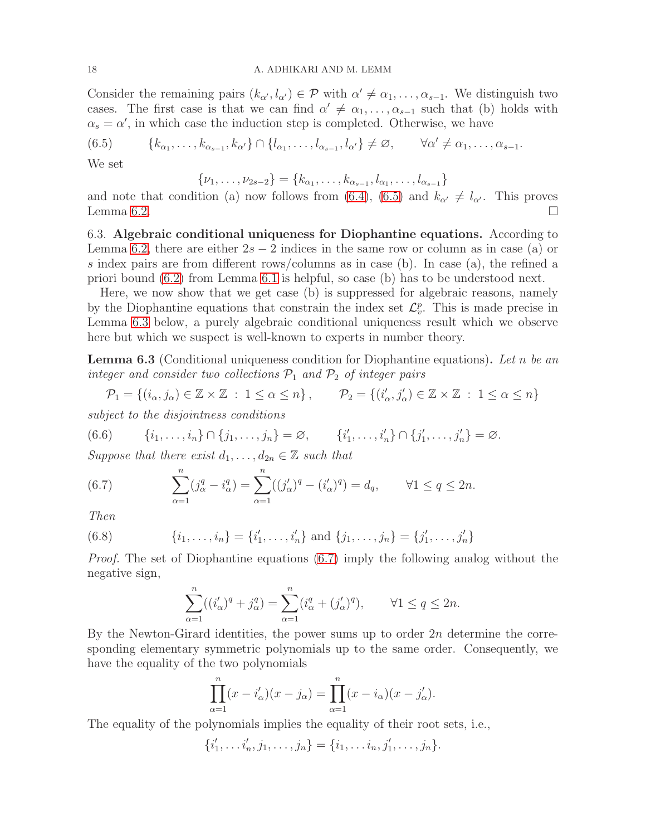#### 18 A. ADHIKARI AND M. LEMM

Consider the remaining pairs  $(k_{\alpha'}, l_{\alpha'}) \in \mathcal{P}$  with  $\alpha' \neq \alpha_1, \ldots, \alpha_{s-1}$ . We distinguish two cases. The first case is that we can find  $\alpha' \neq \alpha_1, \ldots, \alpha_{s-1}$  such that (b) holds with  $\alpha_s = \alpha'$ , in which case the induction step is completed. Otherwise, we have

<span id="page-17-1"></span>
$$
(6.5) \qquad \{k_{\alpha_1},\ldots,k_{\alpha_{s-1}},k_{\alpha'}\}\cap\{l_{\alpha_1},\ldots,l_{\alpha_{s-1}},l_{\alpha'}\}\neq\varnothing, \qquad \forall \alpha'\neq\alpha_1,\ldots,\alpha_{s-1}.
$$

We set

 $\{\nu_1,\ldots,\nu_{2s-2}\} = \{k_{\alpha_1},\ldots,k_{\alpha_{s-1}},l_{\alpha_1},\ldots,l_{\alpha_{s-1}}\}$ 

and note that condition (a) now follows from [\(6.4\)](#page-16-4), [\(6.5\)](#page-17-1) and  $k_{\alpha'} \neq l_{\alpha'}$ . This proves Lemma 6.2. Lemma [6.2.](#page-16-5)

6.3. Algebraic conditional uniqueness for Diophantine equations. According to Lemma [6.2,](#page-16-5) there are either  $2s - 2$  indices in the same row or column as in case (a) or s index pairs are from different rows/columns as in case (b). In case (a), the refined a priori bound [\(6.2\)](#page-16-1) from Lemma [6.1](#page-16-0) is helpful, so case (b) has to be understood next.

Here, we now show that we get case (b) is suppressed for algebraic reasons, namely by the Diophantine equations that constrain the index set  $\mathcal{L}_v^p$ . This is made precise in Lemma [6.3](#page-17-0) below, a purely algebraic conditional uniqueness result which we observe here but which we suspect is well-known to experts in number theory.

<span id="page-17-0"></span>**Lemma 6.3** (Conditional uniqueness condition for Diophantine equations). Let n be an integer and consider two collections  $P_1$  and  $P_2$  of integer pairs

<span id="page-17-4"></span> $\mathcal{P}_1 = \{ (i_\alpha, j_\alpha) \in \mathbb{Z} \times \mathbb{Z} : 1 \leq \alpha \leq n \}, \qquad \mathcal{P}_2 = \{ (i'_\alpha, j'_\alpha) \in \mathbb{Z} \times \mathbb{Z} : 1 \leq \alpha \leq n \}$ 

subject to the disjointness conditions

(6.6) 
$$
\{i_1, \ldots, i_n\} \cap \{j_1, \ldots, j_n\} = \varnothing, \qquad \{i'_1, \ldots, i'_n\} \cap \{j'_1, \ldots, j'_n\} = \varnothing.
$$

Suppose that there exist  $d_1, \ldots, d_{2n} \in \mathbb{Z}$  such that

<span id="page-17-2"></span>(6.7) 
$$
\sum_{\alpha=1}^{n} (j_{\alpha}^{q} - i_{\alpha}^{q}) = \sum_{\alpha=1}^{n} ((j_{\alpha}')^{q} - (i_{\alpha}')^{q}) = d_{q}, \qquad \forall 1 \leq q \leq 2n.
$$

Then

(6.8) 
$$
\{i_1, \ldots, i_n\} = \{i'_1, \ldots, i'_n\} \text{ and } \{j_1, \ldots, j_n\} = \{j'_1, \ldots, j'_n\}
$$

Proof. The set of Diophantine equations [\(6.7\)](#page-17-2) imply the following analog without the negative sign,

<span id="page-17-3"></span>
$$
\sum_{\alpha=1}^n ((i'_{\alpha})^q + j^q_{\alpha}) = \sum_{\alpha=1}^n (i^q_{\alpha} + (j'_{\alpha})^q), \qquad \forall 1 \le q \le 2n.
$$

By the Newton-Girard identities, the power sums up to order  $2n$  determine the corresponding elementary symmetric polynomials up to the same order. Consequently, we have the equality of the two polynomials

$$
\prod_{\alpha=1}^n (x - i'_{\alpha})(x - j_{\alpha}) = \prod_{\alpha=1}^n (x - i_{\alpha})(x - j'_{\alpha}).
$$

The equality of the polynomials implies the equality of their root sets, i.e.,

$$
\{i'_1, \ldots i'_n, j_1, \ldots, j_n\} = \{i_1, \ldots i_n, j'_1, \ldots, j_n\}.
$$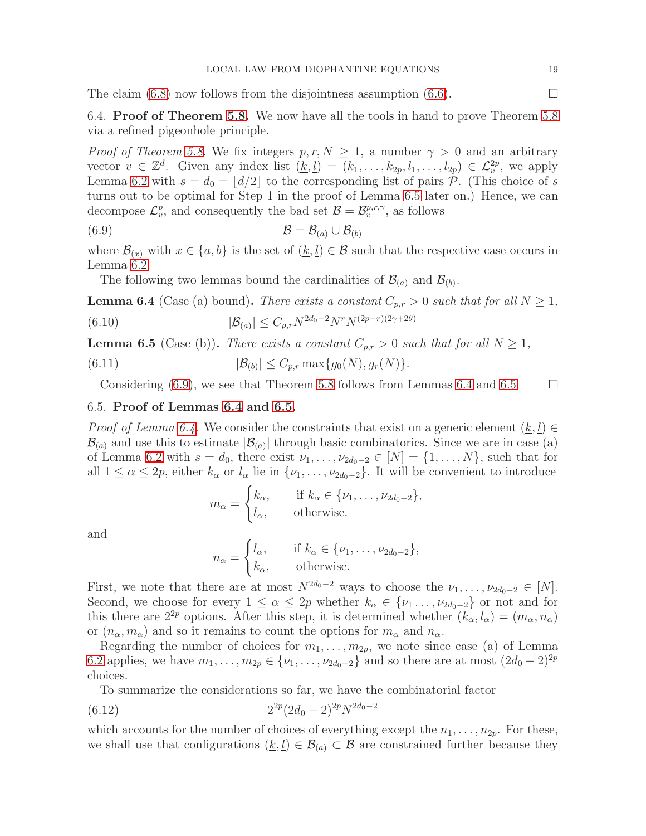The claim  $(6.8)$  now follows from the disjointness assumption  $(6.6)$ .

6.4. Proof of Theorem [5.8.](#page-13-0) We now have all the tools in hand to prove Theorem [5.8](#page-13-0) via a refined pigeonhole principle.

*Proof of Theorem [5.8.](#page-13-0)* We fix integers  $p, r, N \geq 1$ , a number  $\gamma > 0$  and an arbitrary vector  $v \in \mathbb{Z}^d$ . Given any index list  $(\underline{k}, \underline{l}) = (k_1, \ldots, k_{2p}, l_1, \ldots, l_{2p}) \in \mathcal{L}^{2p}_v$ , we apply Lemma [6.2](#page-16-5) with  $s = d_0 = |d/2|$  to the corresponding list of pairs  $\mathcal{P}$ . (This choice of s turns out to be optimal for Step 1 in the proof of Lemma [6.5](#page-18-0) later on.) Hence, we can decompose  $\mathcal{L}_v^p$ , and consequently the bad set  $\mathcal{B} = \mathcal{B}_v^{p,r,\gamma}$ , as follows

(6.9) B = B(a) ∪ B(b)

where  $\mathcal{B}_{(x)}$  with  $x \in \{a, b\}$  is the set of  $(\underline{k}, \underline{l}) \in \mathcal{B}$  such that the respective case occurs in Lemma [6.2.](#page-16-5)

<span id="page-18-1"></span>The following two lemmas bound the cardinalities of  $\mathcal{B}_{(a)}$  and  $\mathcal{B}_{(b)}$ .

<span id="page-18-2"></span>**Lemma 6.4** (Case (a) bound). There exists a constant  $C_{p,r} > 0$  such that for all  $N \geq 1$ ,

(6.10) 
$$
|\mathcal{B}_{(a)}| \leq C_{p,r} N^{2d_0 - 2} N^r N^{(2p - r)(2\gamma + 2\theta)}
$$

<span id="page-18-0"></span>**Lemma 6.5** (Case (b)). There exists a constant  $C_{p,r} > 0$  such that for all  $N \geq 1$ ,

(6.11) 
$$
|\mathcal{B}_{(b)}| \leq C_{p,r} \max\{g_0(N), g_r(N)\}.
$$

Considering [\(6.9\)](#page-18-1), we see that Theorem [5.8](#page-13-0) follows from Lemmas [6.4](#page-18-2) and [6.5.](#page-18-0)  $\Box$ 

## 6.5. Proof of Lemmas [6.4](#page-18-2) and [6.5.](#page-18-0)

*Proof of Lemma [6.4.](#page-18-2)* We consider the constraints that exist on a generic element  $(k, l)$  $\mathcal{B}_{(a)}$  and use this to estimate  $|\mathcal{B}_{(a)}|$  through basic combinatorics. Since we are in case (a) of Lemma [6.2](#page-16-5) with  $s = d_0$ , there exist  $\nu_1, \ldots, \nu_{2d_0-2} \in [N] = \{1, \ldots, N\}$ , such that for all  $1 \leq \alpha \leq 2p$ , either  $k_{\alpha}$  or  $l_{\alpha}$  lie in  $\{\nu_1, \ldots, \nu_{2d_0-2}\}$ . It will be convenient to introduce

$$
m_{\alpha} = \begin{cases} k_{\alpha}, & \text{if } k_{\alpha} \in \{\nu_1, \dots, \nu_{2d_0 - 2}\}, \\ l_{\alpha}, & \text{otherwise.} \end{cases}
$$

and

$$
n_{\alpha} = \begin{cases} l_{\alpha}, & \text{if } k_{\alpha} \in \{\nu_1, \dots, \nu_{2d_0 - 2}\}, \\ k_{\alpha}, & \text{otherwise.} \end{cases}
$$

First, we note that there are at most  $N^{2d_0-2}$  ways to choose the  $\nu_1, \ldots, \nu_{2d_0-2} \in [N]$ . Second, we choose for every  $1 \leq \alpha \leq 2p$  whether  $k_{\alpha} \in \{\nu_1, \dots, \nu_{2d_0-2}\}$  or not and for this there are  $2^{2p}$  options. After this step, it is determined whether  $(k_{\alpha}, l_{\alpha}) = (m_{\alpha}, n_{\alpha})$ or  $(n_{\alpha}, m_{\alpha})$  and so it remains to count the options for  $m_{\alpha}$  and  $n_{\alpha}$ .

Regarding the number of choices for  $m_1, \ldots, m_{2p}$ , we note since case (a) of Lemma [6.2](#page-16-5) applies, we have  $m_1, \ldots, m_{2p} \in \{\nu_1, \ldots, \nu_{2d_0-2}\}\$  and so there are at most  $(2d_0-2)^{2p}$ choices.

<span id="page-18-3"></span>To summarize the considerations so far, we have the combinatorial factor

$$
(6.12) \t\t 2^{2p} (2d_0 - 2)^{2p} N^{2d_0 - 2}
$$

which accounts for the number of choices of everything except the  $n_1, \ldots, n_{2p}$ . For these, we shall use that configurations  $(\underline{k}, \underline{l}) \in \mathcal{B}_{(a)} \subset \mathcal{B}$  are constrained further because they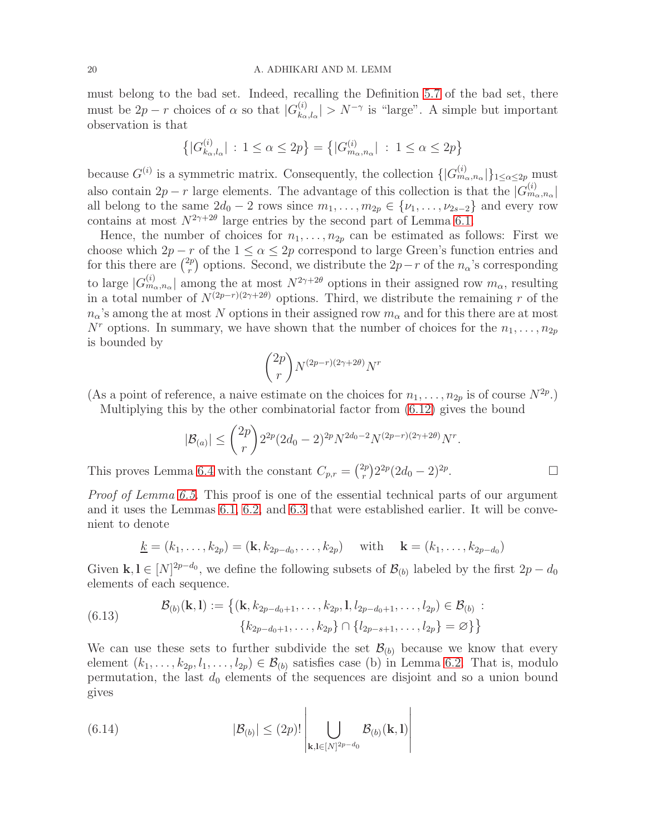must belong to the bad set. Indeed, recalling the Definition [5.7](#page-12-0) of the bad set, there must be  $2p - r$  choices of  $\alpha$  so that  $|G_{k_{\alpha}}^{(i)}|$  $\binom{n}{k_{\alpha},l_{\alpha}}$  >  $N^{-\gamma}$  is "large". A simple but important observation is that

$$
\left\{ |G_{k_{\alpha},l_{\alpha}}^{(i)}| : 1 \le \alpha \le 2p \right\} = \left\{ |G_{m_{\alpha},n_{\alpha}}^{(i)}| : 1 \le \alpha \le 2p \right\}
$$

because  $G^{(i)}$  is a symmetric matrix. Consequently, the collection  $\{ |G_{m_\alpha,n_\alpha}^{(i)}|\}_{1 \leq \alpha \leq 2p}$  must also contain  $2p - r$  large elements. The advantage of this collection is that the  $|G_{m_\alpha,n_\alpha}^{(i)}|$ all belong to the same  $2d_0 - 2$  rows since  $m_1, \ldots, m_{2p} \in \{\nu_1, \ldots, \nu_{2s-2}\}\$  and every row contains at most  $N^{2\gamma+2\theta}$  large entries by the second part of Lemma [6.1.](#page-16-0)

Hence, the number of choices for  $n_1, \ldots, n_{2p}$  can be estimated as follows: First we choose which  $2p - r$  of the  $1 \leq \alpha \leq 2p$  correspond to large Green's function entries and for this there are  $\binom{2p}{r}$  $r_r^{2p}$  options. Second, we distribute the  $2p-r$  of the  $n_\alpha$ 's corresponding to large  $|G_{m_\alpha,n_\alpha}^{(i)}|$  among the at most  $N^{2\gamma+2\theta}$  options in their assigned row  $m_\alpha$ , resulting in a total number of  $N^{(2p-r)(2\gamma+2\theta)}$  options. Third, we distribute the remaining r of the  $n_{\alpha}$ 's among the at most N options in their assigned row  $m_{\alpha}$  and for this there are at most  $N^r$  options. In summary, we have shown that the number of choices for the  $n_1, \ldots, n_{2p}$ is bounded by

$$
\binom{2p}{r} N^{(2p-r)(2\gamma+2\theta)} N^r
$$

(As a point of reference, a naive estimate on the choices for  $n_1, \ldots, n_{2p}$  is of course  $N^{2p}$ .)

Multiplying this by the other combinatorial factor from [\(6.12\)](#page-18-3) gives the bound

$$
|\mathcal{B}_{(a)}| \leq {2p \choose r} 2^{2p} (2d_0 - 2)^{2p} N^{2d_0 - 2} N^{(2p - r)(2\gamma + 2\theta)} N^r.
$$

This proves Lemma [6.4](#page-18-2) with the constant  $C_{p,r} = \binom{2p}{r}$  $\binom{2p}{r} 2^{2p} (2d_0 - 2)^{2p}$ . — Пример, на пример, на пример, на пример, на пример, на пример, на пример, на пример, на пример, на пример,<br>В стала и в стала и в стала и в стала и в стала и в стала и в стала и в стала и в стала и в стала и в стала и<br>

Proof of Lemma [6.5.](#page-18-0) This proof is one of the essential technical parts of our argument and it uses the Lemmas [6.1,](#page-16-0) [6.2,](#page-16-5) and [6.3](#page-17-0) that were established earlier. It will be convenient to denote

$$
\underline{k} = (k_1, \ldots, k_{2p}) = (\mathbf{k}, k_{2p-d_0}, \ldots, k_{2p})
$$
 with  $\mathbf{k} = (k_1, \ldots, k_{2p-d_0})$ 

Given  $\mathbf{k}, \mathbf{l} \in [N]^{2p-d_0}$ , we define the following subsets of  $\mathcal{B}_{(b)}$  labeled by the first  $2p-d_0$ elements of each sequence.

(6.13) 
$$
\mathcal{B}_{(b)}(\mathbf{k},\mathbf{l}) := \{ (\mathbf{k}, k_{2p-d_0+1}, \dots, k_{2p}, \mathbf{l}, l_{2p-d_0+1}, \dots, l_{2p}) \in \mathcal{B}_{(b)} : \\ \{ k_{2p-d_0+1}, \dots, k_{2p} \} \cap \{ l_{2p-s+1}, \dots, l_{2p} \} = \varnothing \} \}
$$

We can use these sets to further subdivide the set  $\mathcal{B}_{(b)}$  because we know that every element  $(k_1, \ldots, k_{2p}, l_1, \ldots, l_{2p}) \in \mathcal{B}_{(b)}$  satisfies case (b) in Lemma [6.2.](#page-16-5) That is, modulo permutation, the last  $d_0$  elements of the sequences are disjoint and so a union bound gives

<span id="page-19-0"></span> $\overline{1}$ 

(6.14) 
$$
|\mathcal{B}_{(b)}| \leq (2p)! \left| \bigcup_{\mathbf{k}, \mathbf{l} \in [N]^{2p-d_0}} \mathcal{B}_{(b)}(\mathbf{k}, \mathbf{l}) \right|
$$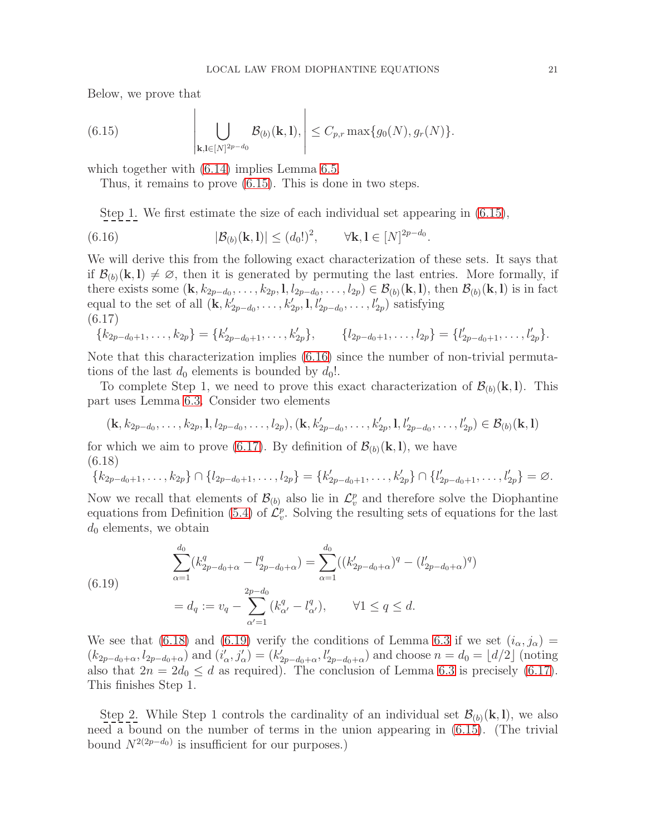Below, we prove that

<span id="page-20-0"></span>(6.15) 
$$
\left| \bigcup_{\mathbf{k},\mathbf{l}\in[N]^{2p-d_0}} \mathcal{B}_{(b)}(\mathbf{k},\mathbf{l}),\right| \leq C_{p,r} \max\{g_0(N), g_r(N)\}.
$$

which together with  $(6.14)$  implies Lemma [6.5.](#page-18-0)

Thus, it remains to prove [\(6.15\)](#page-20-0). This is done in two steps.

<span id="page-20-1"></span>Step 1. We first estimate the size of each individual set appearing in [\(6.15\)](#page-20-0),

(6.16) 
$$
|\mathcal{B}_{(b)}(\mathbf{k}, \mathbf{l})| \leq (d_0!)^2, \qquad \forall \mathbf{k}, \mathbf{l} \in [N]^{2p-d_0}.
$$

We will derive this from the following exact characterization of these sets. It says that if  $\mathcal{B}_{(b)}(\mathbf{k}, \mathbf{l}) \neq \emptyset$ , then it is generated by permuting the last entries. More formally, if there exists some  $(\mathbf{k}, k_{2p-d_0}, \ldots, k_{2p}, 1, l_{2p-d_0}, \ldots, l_{2p}) \in \mathcal{B}_{(b)}(\mathbf{k}, 1)$ , then  $\mathcal{B}_{(b)}(\mathbf{k}, 1)$  is in fact equal to the set of all  $(\mathbf{k}, k'_{2p-d_0}, \ldots, k'_{2p}, 1, l'_{2p-d_0}, \ldots, l'_{2p})$  satisfying (6.17)

<span id="page-20-2"></span>
$$
\{k_{2p-d_0+1},\ldots,k_{2p}\} = \{k'_{2p-d_0+1},\ldots,k'_{2p}\}, \qquad \{l_{2p-d_0+1},\ldots,l_{2p}\} = \{l'_{2p-d_0+1},\ldots,l'_{2p}\}.
$$

Note that this characterization implies [\(6.16\)](#page-20-1) since the number of non-trivial permutations of the last  $d_0$  elements is bounded by  $d_0!$ .

To complete Step 1, we need to prove this exact characterization of  $\mathcal{B}_{(b)}(\mathbf{k}, \mathbf{l})$ . This part uses Lemma [6.3.](#page-17-0) Consider two elements

$$
(\mathbf{k}, k_{2p-d_0}, \ldots, k_{2p}, 1, l_{2p-d_0}, \ldots, l_{2p}), (\mathbf{k}, k'_{2p-d_0}, \ldots, k'_{2p}, 1, l'_{2p-d_0}, \ldots, l'_{2p}) \in \mathcal{B}_{(b)}(\mathbf{k}, \mathbf{l})
$$

for which we aim to prove [\(6.17\)](#page-20-2). By definition of  $\mathcal{B}_{(b)}(\mathbf{k}, \mathbf{l})$ , we have (6.18)

<span id="page-20-3"></span>
$$
\{k_{2p-d_0+1},\ldots,k_{2p}\}\cap\{l_{2p-d_0+1},\ldots,l_{2p}\}=\{k'_{2p-d_0+1},\ldots,k'_{2p}\}\cap\{l'_{2p-d_0+1},\ldots,l'_{2p}\}=\varnothing.
$$

Now we recall that elements of  $\mathcal{B}_{(b)}$  also lie in  $\mathcal{L}_v^p$  and therefore solve the Diophantine equations from Definition [\(5.4\)](#page-10-1) of  $\mathcal{L}_v^p$ . Solving the resulting sets of equations for the last  $d_0$  elements, we obtain

<span id="page-20-4"></span>(6.19)  

$$
\sum_{\alpha=1}^{d_0} (k_{2p-d_0+\alpha}^q - l_{2p-d_0+\alpha}^q) = \sum_{\alpha=1}^{d_0} ((k_{2p-d_0+\alpha}')^q - (l_{2p-d_0+\alpha}')^q)
$$

$$
= d_q := v_q - \sum_{\alpha'=1}^{2p-d_0} (k_{\alpha'}^q - l_{\alpha'}^q), \qquad \forall 1 \le q \le d.
$$

We see that [\(6.18\)](#page-20-3) and [\(6.19\)](#page-20-4) verify the conditions of Lemma [6.3](#page-17-0) if we set  $(i_{\alpha}, j_{\alpha}) =$  $(k_{2p-d_0+\alpha}, l_{2p-d_0+\alpha})$  and  $(i'_{\alpha}, j'_{\alpha}) = (k'_{2p-d_0+\alpha}, l'_{2p-d_0+\alpha})$  and choose  $n = d_0 = \lfloor d/2 \rfloor$  (noting also that  $2n = 2d_0 \leq d$  as required). The conclusion of Lemma [6.3](#page-17-0) is precisely [\(6.17\)](#page-20-2). This finishes Step 1.

Step 2. While Step 1 controls the cardinality of an individual set  $\mathcal{B}_{(b)}(\mathbf{k}, \mathbf{l})$ , we also need a bound on the number of terms in the union appearing in [\(6.15\)](#page-20-0). (The trivial bound  $N^{2(2p-d_0)}$  is insufficient for our purposes.)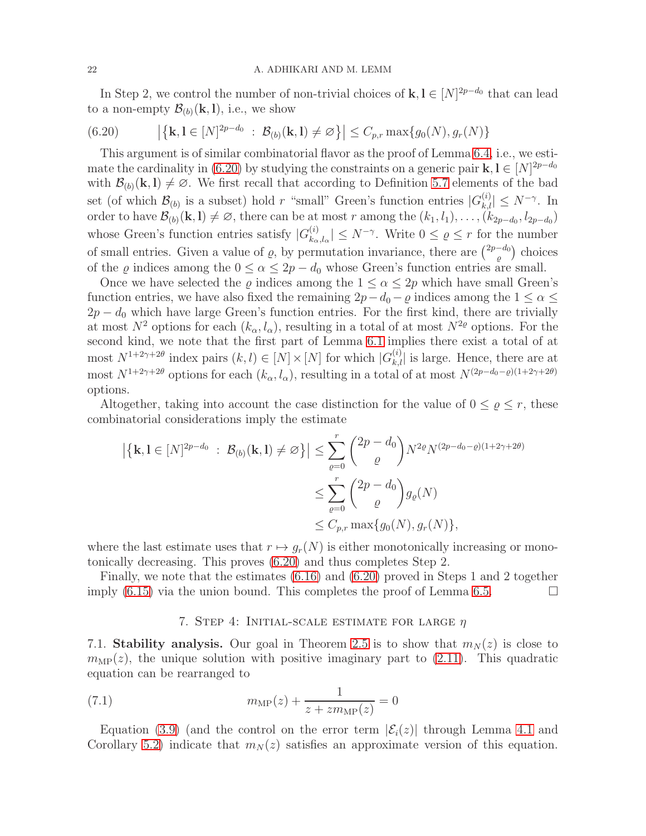In Step 2, we control the number of non-trivial choices of  $\mathbf{k}, \mathbf{l} \in [N]^{2p-d_0}$  that can lead to a non-empty  $\mathcal{B}_{(b)}(\mathbf{k}, \mathbf{l})$ , i.e., we show

<span id="page-21-0"></span>(6.20) 
$$
|\{\mathbf{k}, \mathbf{l} \in [N]^{2p-d_0} : \mathcal{B}_{(b)}(\mathbf{k}, \mathbf{l}) \neq \varnothing\}| \leq C_{p,r} \max\{g_0(N), g_r(N)\}\
$$

This argument is of similar combinatorial flavor as the proof of Lemma [6.4,](#page-18-2) i.e., we esti-mate the cardinality in [\(6.20\)](#page-21-0) by studying the constraints on a generic pair  $\mathbf{k}, \mathbf{l} \in [N]^{2p-d_0}$ with  $\mathcal{B}_{(b)}(\mathbf{k}, \mathbf{l}) \neq \emptyset$ . We first recall that according to Definition [5.7](#page-12-0) elements of the bad set (of which  $\mathcal{B}_{(b)}$  is a subset) hold r "small" Green's function entries  $|G_{k,l}^{(i)}| \leq N^{-\gamma}$ . In order to have  $\mathcal{B}_{(b)}(\mathbf{k},\mathbf{l}) \neq \emptyset$ , there can be at most r among the  $(k_1, l_1), \ldots, (k_{2p-d_0}, l_{2p-d_0})$ whose Green's function entries satisfy  $|G_{k_{\alpha}}^{(i)}|$  $\left|\sum_{k_{\alpha},l_{\alpha}}^{(i)}\right| \leq N^{-\gamma}$ . Write  $0 \leq \varrho \leq r$  for the number of small entries. Given a value of  $\varrho$ , by permutation invariance, there are  $\binom{2p-d_0}{\varrho}$  choices of the  $\varrho$  indices among the  $0 \le \alpha \le 2p - d_0$  whose Green's function entries are small.

Once we have selected the  $\varrho$  indices among the  $1 \le \alpha \le 2p$  which have small Green's function entries, we have also fixed the remaining  $2p-d_0-\varrho$  indices among the  $1 \leq \alpha \leq$  $2p - d_0$  which have large Green's function entries. For the first kind, there are trivially at most  $N^2$  options for each  $(k_\alpha, l_\alpha)$ , resulting in a total of at most  $N^{2\varrho}$  options. For the second kind, we note that the first part of Lemma [6.1](#page-16-0) implies there exist a total of at most  $N^{1+2\gamma+2\theta}$  index pairs  $(k, l) \in [N] \times [N]$  for which  $|G_{k,l}^{(i)}|$  is large. Hence, there are at most  $N^{1+2\gamma+2\theta}$  options for each  $(k_{\alpha}, l_{\alpha})$ , resulting in a total of at most  $N^{(2p-d_0-\rho)(1+2\gamma+2\theta)}$ options.

Altogether, taking into account the case distinction for the value of  $0 \le \varrho \le r$ , these combinatorial considerations imply the estimate

$$
\left| \left\{ \mathbf{k}, \mathbf{l} \in [N]^{2p - d_0} : \mathcal{B}_{(b)}(\mathbf{k}, \mathbf{l}) \neq \varnothing \right\} \right| \leq \sum_{\varrho=0}^r {2p - d_0 \choose \varrho} N^{2\varrho} N^{(2p - d_0 - \varrho)(1 + 2\gamma + 2\theta)} \leq \sum_{\varrho=0}^r {2p - d_0 \choose \varrho} g_{\varrho}(N) \leq C_{p,r} \max\{g_0(N), g_r(N)\},
$$

where the last estimate uses that  $r \mapsto g_r(N)$  is either monotonically increasing or monotonically decreasing. This proves [\(6.20\)](#page-21-0) and thus completes Step 2.

Finally, we note that the estimates [\(6.16\)](#page-20-1) and [\(6.20\)](#page-21-0) proved in Steps 1 and 2 together imply [\(6.15\)](#page-20-0) via the union bound. This completes the proof of Lemma [6.5.](#page-18-0)  $\Box$ 

## <span id="page-21-1"></span>7. STEP 4: INITIAL-SCALE ESTIMATE FOR LARGE  $\eta$

7.1. Stability analysis. Our goal in Theorem [2.5](#page-3-0) is to show that  $m_N(z)$  is close to  $m_{\text{MP}}(z)$ , the unique solution with positive imaginary part to [\(2.11\)](#page-5-1). This quadratic equation can be rearranged to

(7.1) 
$$
m_{\text{MP}}(z) + \frac{1}{z + z m_{\text{MP}}(z)} = 0
$$

Equation [\(3.9\)](#page-9-4) (and the control on the error term  $|\mathcal{E}_i(z)|$  through Lemma [4.1](#page-9-2) and Corollary [5.2\)](#page-10-2) indicate that  $m_N(z)$  satisfies an approximate version of this equation.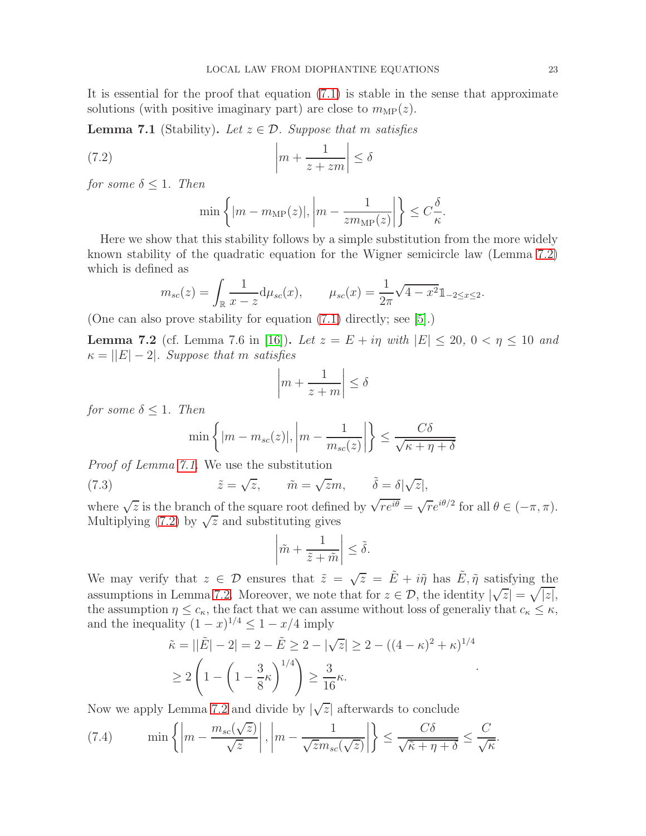It is essential for the proof that equation [\(7.1\)](#page-21-1) is stable in the sense that approximate solutions (with positive imaginary part) are close to  $m_{\text{MP}}(z)$ .

<span id="page-22-1"></span>**Lemma 7.1** (Stability). Let  $z \in \mathcal{D}$ . Suppose that m satisfies

(7.2) 
$$
\left| m + \frac{1}{z + zm} \right| \le \delta
$$

for some  $\delta \leq 1$ . Then

<span id="page-22-2"></span>
$$
\min\left\{ |m - m_{\rm MP}(z)|, \left| m - \frac{1}{zm_{\rm MP}(z)} \right| \right\} \leq C_{\frac{\delta}{\kappa}}.
$$

Here we show that this stability follows by a simple substitution from the more widely known stability of the quadratic equation for the Wigner semicircle law (Lemma [7.2\)](#page-22-0) which is defined as

$$
m_{sc}(z) = \int_{\mathbb{R}} \frac{1}{x - z} d\mu_{sc}(x), \qquad \mu_{sc}(x) = \frac{1}{2\pi} \sqrt{4 - x^2} \mathbb{1}_{-2 \le x \le 2}.
$$

(One can also prove stability for equation [\(7.1\)](#page-21-1) directly; see [\[5\]](#page-28-12).)

<span id="page-22-0"></span>**Lemma 7.2** (cf. Lemma 7.6 in [\[16\]](#page-29-2)). Let  $z = E + i\eta$  with  $|E| \le 20$ ,  $0 < \eta \le 10$  and  $\kappa = ||E| - 2$ . Suppose that m satisfies

$$
\left| m + \frac{1}{z+m} \right| \le \delta
$$

for some  $\delta \leq 1$ . Then

<span id="page-22-4"></span>
$$
\min\left\{|m - m_{sc}(z)|, \left|m - \frac{1}{m_{sc}(z)}\right|\right\} \le \frac{C\delta}{\sqrt{\kappa + \eta + \delta}}
$$

Proof of Lemma [7.1.](#page-22-1) We use the substitution

(7.3) 
$$
\tilde{z} = \sqrt{z}, \qquad \tilde{m} = \sqrt{z}m, \qquad \tilde{\delta} = \delta|\sqrt{z}|,
$$

where  $\sqrt{z}$  is the branch of the square root defined by  $\sqrt{r e^{i\theta}} = \sqrt{r} e^{i\theta/2}$  for all  $\theta \in (-\pi, \pi)$ . Multiplying [\(7.2\)](#page-22-2) by  $\sqrt{z}$  and substituting gives

$$
\left|\tilde{m} + \frac{1}{\tilde{z} + \tilde{m}}\right| \le \tilde{\delta}.
$$

We may verify that  $z \in \mathcal{D}$  ensures that  $\tilde{z} = \sqrt{z} = \tilde{E} + i\tilde{\eta}$  has  $\tilde{E}, \tilde{\eta}$  satisfying the assumptions in Lemma [7.2.](#page-22-0) Moreover, we note that for  $z \in \mathcal{D}$ , the identity  $|\sqrt{z}| = \sqrt{|z|}$ , the assumption  $\eta \leq c_{\kappa}$ , the fact that we can assume without loss of generaliy that  $c_{\kappa} \leq \kappa$ , and the inequality  $(1-x)^{1/4} \leq 1-x/4$  imply

$$
\tilde{\kappa} = ||\tilde{E}| - 2| = 2 - \tilde{E} \ge 2 - |\sqrt{z}| \ge 2 - ((4 - \kappa)^2 + \kappa)^{1/4}
$$
  
\n
$$
\ge 2\left(1 - \left(1 - \frac{3}{8}\kappa\right)^{1/4}\right) \ge \frac{3}{16}\kappa.
$$

.

Now we apply Lemma [7.2](#page-22-0) and divide by  $|\sqrt{z}|$  afterwards to conclude

<span id="page-22-3"></span>(7.4) 
$$
\min\left\{\left|m-\frac{m_{sc}(\sqrt{z})}{\sqrt{z}}\right|,\left|m-\frac{1}{\sqrt{z}m_{sc}(\sqrt{z})}\right|\right\}\leq \frac{C\delta}{\sqrt{\tilde{\kappa}+\eta+\delta}}\leq \frac{C}{\sqrt{\kappa}}.
$$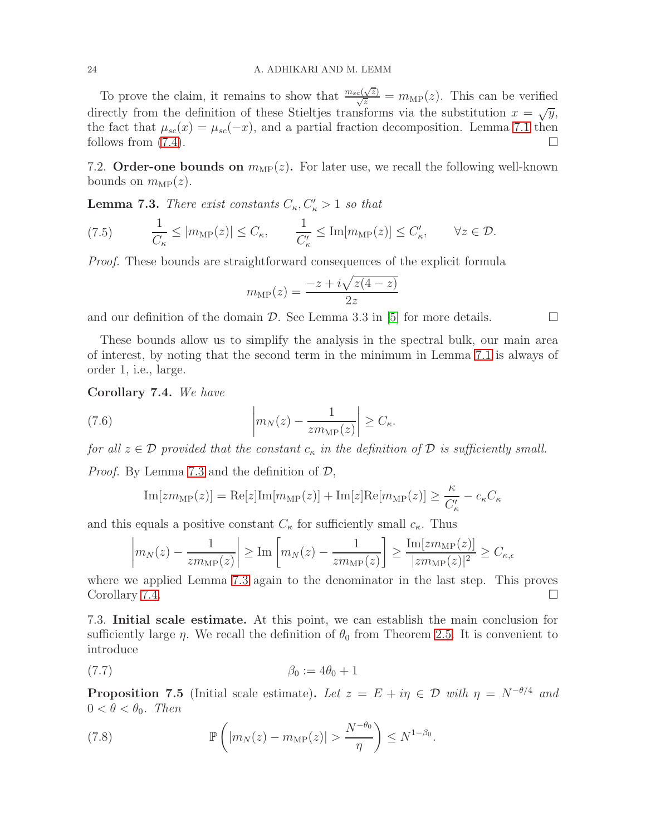To prove the claim, it remains to show that  $\frac{m_{sc}(\sqrt{z})}{\sqrt{z}} = m_{\text{MP}}(z)$ . This can be verified directly from the definition of these Stieltjes transforms via the substitution  $x = \sqrt{y}$ , the fact that  $\mu_{sc}(x) = \mu_{sc}(-x)$ , and a partial fraction decomposition. Lemma [7.1](#page-22-1) then follows from (7.4). follows from [\(7.4\)](#page-22-3).

7.2. Order-one bounds on  $m_{\text{MP}}(z)$ . For later use, we recall the following well-known bounds on  $m_{\text{MP}}(z)$ .

<span id="page-23-1"></span>**Lemma 7.3.** There exist constants  $C_{\kappa}$ ,  $C'_{\kappa}$  > 1 so that

(7.5) 
$$
\frac{1}{C_{\kappa}} \le |m_{\text{MP}}(z)| \le C_{\kappa}, \qquad \frac{1}{C_{\kappa}'} \le \text{Im}[m_{\text{MP}}(z)] \le C_{\kappa}', \qquad \forall z \in \mathcal{D}.
$$

Proof. These bounds are straightforward consequences of the explicit formula

$$
m_{\rm MP}(z) = \frac{-z + i\sqrt{z(4-z)}}{2z}
$$

and our definition of the domain  $\mathcal D$ . See Lemma 3.3 in [\[5\]](#page-28-12) for more details.

These bounds allow us to simplify the analysis in the spectral bulk, our main area of interest, by noting that the second term in the minimum in Lemma [7.1](#page-22-1) is always of order 1, i.e., large.

<span id="page-23-2"></span>Corollary 7.4. We have

(7.6) 
$$
\left| m_N(z) - \frac{1}{z m_{\text{MP}}(z)} \right| \geq C_{\kappa}.
$$

for all  $z \in \mathcal{D}$  provided that the constant  $c_{\kappa}$  in the definition of  $\mathcal{D}$  is sufficiently small.

*Proof.* By Lemma [7.3](#page-23-1) and the definition of  $\mathcal{D}$ ,

Im[
$$
z m_{\text{MP}}(z)
$$
] = Re[ $z$ ] $Im[m_{\text{MP}}(z)]$  + Im[ $z$ ] $Re[m_{\text{MP}}(z)]$   $\ge \frac{\kappa}{C'_{\kappa}} - c_{\kappa} C_{\kappa}$ 

and this equals a positive constant  $C_{\kappa}$  for sufficiently small  $c_{\kappa}$ . Thus

$$
\left| m_N(z) - \frac{1}{zm_{\text{MP}}(z)} \right| \ge \text{Im} \left[ m_N(z) - \frac{1}{zm_{\text{MP}}(z)} \right] \ge \frac{\text{Im}[zm_{\text{MP}}(z)]}{|zm_{\text{MP}}(z)|^2} \ge C_{\kappa, \epsilon}
$$

where we applied Lemma [7.3](#page-23-1) again to the denominator in the last step. This proves Corollary [7.4.](#page-23-2)

7.3. Initial scale estimate. At this point, we can establish the main conclusion for sufficiently large  $\eta$ . We recall the definition of  $\theta_0$  from Theorem [2.5.](#page-3-0) It is convenient to introduce

<span id="page-23-0"></span>
$$
\beta_0 := 4\theta_0 + 1
$$

<span id="page-23-3"></span>**Proposition 7.5** (Initial scale estimate). Let  $z = E + i\eta \in \mathcal{D}$  with  $\eta = N^{-\theta/4}$  and  $0 < \theta < \theta_0$ . Then

(7.8) 
$$
\mathbb{P}\left(|m_N(z)-m_{\text{MP}}(z)|>\frac{N^{-\theta_0}}{\eta}\right)\leq N^{1-\beta_0}.
$$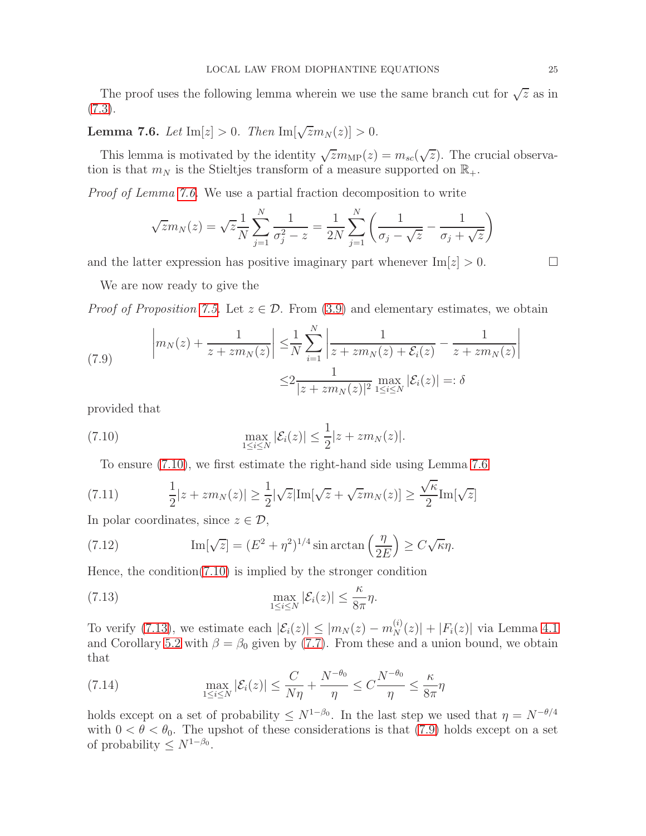The proof uses the following lemma wherein we use the same branch cut for  $\sqrt{z}$  as in  $(7.3).$  $(7.3).$ 

<span id="page-24-0"></span>**Lemma 7.6.** Let  $\text{Im}[z] > 0$ . Then  $\text{Im}[\sqrt{z}m_N(z)] > 0$ .

This lemma is motivated by the identity  $\sqrt{z}m_{\text{MP}}(z) = m_{sc}(\sqrt{z})$ . The crucial observation is that  $m_N$  is the Stieltjes transform of a measure supported on  $\mathbb{R}_+$ .

Proof of Lemma [7.6.](#page-24-0) We use a partial fraction decomposition to write

$$
\sqrt{z}m_N(z) = \sqrt{z}\frac{1}{N}\sum_{j=1}^N \frac{1}{\sigma_j^2 - z} = \frac{1}{2N}\sum_{j=1}^N \left(\frac{1}{\sigma_j - \sqrt{z}} - \frac{1}{\sigma_j + \sqrt{z}}\right)
$$

and the latter expression has positive imaginary part whenever  $\text{Im}[z] > 0$ .

We are now ready to give the

*Proof of Proposition [7.5.](#page-23-3)* Let  $z \in \mathcal{D}$ . From [\(3.9\)](#page-9-4) and elementary estimates, we obtain

<span id="page-24-3"></span>(7.9) 
$$
\left| m_N(z) + \frac{1}{z + z m_N(z)} \right| \leq \frac{1}{N} \sum_{i=1}^N \left| \frac{1}{z + z m_N(z) + \mathcal{E}_i(z)} - \frac{1}{z + z m_N(z)} \right|
$$

$$
\leq 2 \frac{1}{|z + z m_N(z)|^2} \max_{1 \leq i \leq N} |\mathcal{E}_i(z)| =: \delta
$$

provided that

(7.10) 
$$
\max_{1 \le i \le N} |\mathcal{E}_i(z)| \le \frac{1}{2}|z + zm_N(z)|.
$$

<span id="page-24-4"></span><span id="page-24-1"></span>To ensure [\(7.10\)](#page-24-1), we first estimate the right-hand side using Lemma [7.6](#page-24-0)

(7.11) 
$$
\frac{1}{2}|z+zm_N(z)| \geq \frac{1}{2}|\sqrt{z}|\text{Im}[\sqrt{z}+\sqrt{z}m_N(z)] \geq \frac{\sqrt{\kappa}}{2}\text{Im}[\sqrt{z}]
$$

In polar coordinates, since  $z \in \mathcal{D}$ ,

<span id="page-24-5"></span>(7.12) 
$$
\operatorname{Im}[\sqrt{z}] = (E^2 + \eta^2)^{1/4} \sin \arctan\left(\frac{\eta}{2E}\right) \ge C\sqrt{\kappa}\eta.
$$

Hence, the condition[\(7.10\)](#page-24-1) is implied by the stronger condition

<span id="page-24-2"></span>(7.13) 
$$
\max_{1 \leq i \leq N} |\mathcal{E}_i(z)| \leq \frac{\kappa}{8\pi} \eta.
$$

To verify [\(7.13\)](#page-24-2), we estimate each  $|\mathcal{E}_i(z)| \le |m_N(z) - m_N^{(i)}(z)| + |F_i(z)|$  via Lemma [4.1](#page-9-2) and Corollary [5.2](#page-10-2) with  $\beta = \beta_0$  given by [\(7.7\)](#page-23-0). From these and a union bound, we obtain that

<span id="page-24-6"></span>(7.14) 
$$
\max_{1 \leq i \leq N} |\mathcal{E}_i(z)| \leq \frac{C}{N\eta} + \frac{N^{-\theta_0}}{\eta} \leq C \frac{N^{-\theta_0}}{\eta} \leq \frac{\kappa}{8\pi}\eta
$$

holds except on a set of probability  $\leq N^{1-\beta_0}$ . In the last step we used that  $\eta = N^{-\theta/4}$ with  $0 < \theta < \theta_0$ . The upshot of these considerations is that [\(7.9\)](#page-24-3) holds except on a set of probability  $\leq N^{1-\beta_0}$ .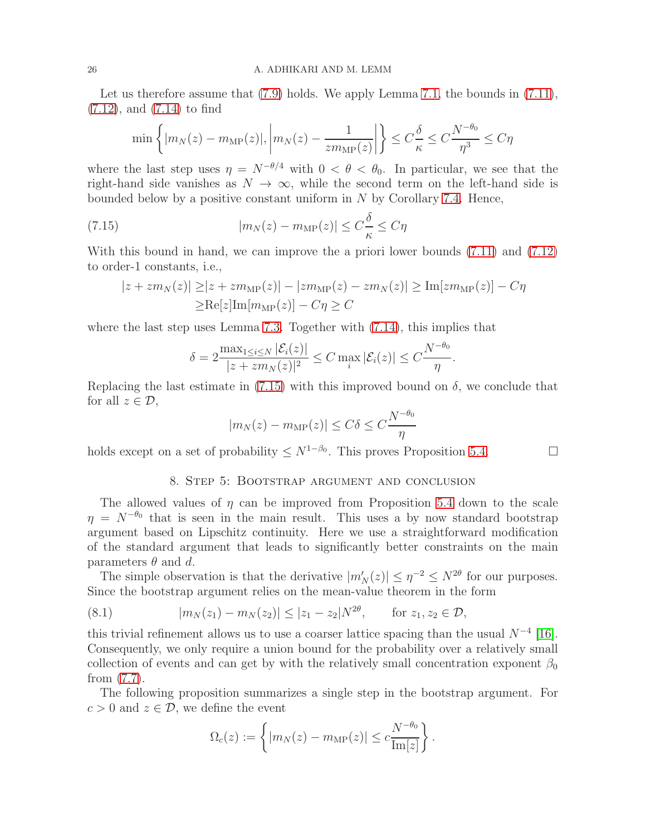Let us therefore assume that [\(7.9\)](#page-24-3) holds. We apply Lemma [7.1,](#page-22-1) the bounds in [\(7.11\)](#page-24-4), [\(7.12\)](#page-24-5), and [\(7.14\)](#page-24-6) to find

$$
\min\left\{|m_N(z) - m_{\text{MP}}(z)|, \left|m_N(z) - \frac{1}{zm_{\text{MP}}(z)}\right|\right\} \le C_{\frac{\delta}{\kappa}}^{\frac{\delta}{\kappa}} \le C_{\frac{\delta}{\eta^3}}^{\frac{\delta}{\eta^3}} \le C_{\eta}
$$

where the last step uses  $\eta = N^{-\theta/4}$  with  $0 < \theta < \theta_0$ . In particular, we see that the right-hand side vanishes as  $N \to \infty$ , while the second term on the left-hand side is bounded below by a positive constant uniform in N by Corollary [7.4.](#page-23-2) Hence,

(7.15) 
$$
|m_N(z) - m_{\text{MP}}(z)| \le C \frac{\delta}{\kappa} \le C \eta
$$

With this bound in hand, we can improve the a priori lower bounds [\(7.11\)](#page-24-4) and [\(7.12\)](#page-24-5) to order-1 constants, i.e.,

<span id="page-25-0"></span>
$$
|z + zm_N(z)| \geq |z + zm_{\text{MP}}(z)| - |zm_{\text{MP}}(z) - zm_N(z)| \geq \text{Im}[zm_{\text{MP}}(z)] - C\eta
$$
  
 
$$
\geq \text{Re}[z] \text{Im}[m_{\text{MP}}(z)] - C\eta \geq C
$$

where the last step uses Lemma [7.3.](#page-23-1) Together with [\(7.14\)](#page-24-6), this implies that

$$
\delta = 2 \frac{\max_{1 \leq i \leq N} |\mathcal{E}_i(z)|}{|z + zm_N(z)|^2} \leq C \max_i |\mathcal{E}_i(z)| \leq C \frac{N^{-\theta_0}}{\eta}.
$$

Replacing the last estimate in [\(7.15\)](#page-25-0) with this improved bound on  $\delta$ , we conclude that for all  $z \in \mathcal{D}$ ,

$$
|m_N(z) - m_{\text{MP}}(z)| \le C\delta \le C\frac{N^{-\theta_0}}{\eta}
$$

holds except on a set of probability  $\leq N^{1-\beta_0}$ . This proves Proposition [5.4.](#page-11-1)

#### 8. Step 5: Bootstrap argument and conclusion

The allowed values of  $\eta$  can be improved from Proposition [5.4](#page-11-1) down to the scale  $\eta = N^{-\theta_0}$  that is seen in the main result. This uses a by now standard bootstrap argument based on Lipschitz continuity. Here we use a straightforward modification of the standard argument that leads to significantly better constraints on the main parameters  $\theta$  and d.

The simple observation is that the derivative  $|m'_{N}(z)| \leq \eta^{-2} \leq N^{2\theta}$  for our purposes. Since the bootstrap argument relies on the mean-value theorem in the form

<span id="page-25-1"></span>(8.1) 
$$
|m_N(z_1) - m_N(z_2)| \le |z_1 - z_2| N^{2\theta}, \quad \text{for } z_1, z_2 \in \mathcal{D},
$$

this trivial refinement allows us to use a coarser lattice spacing than the usual  $N^{-4}$  [\[16\]](#page-29-2). Consequently, we only require a union bound for the probability over a relatively small collection of events and can get by with the relatively small concentration exponent  $\beta_0$ from [\(7.7\)](#page-23-0).

The following proposition summarizes a single step in the bootstrap argument. For  $c > 0$  and  $z \in \mathcal{D}$ , we define the event

$$
\Omega_c(z) := \left\{ |m_N(z) - m_{\text{MP}}(z)| \leq c \frac{N^{-\theta_0}}{\text{Im}[z]} \right\}.
$$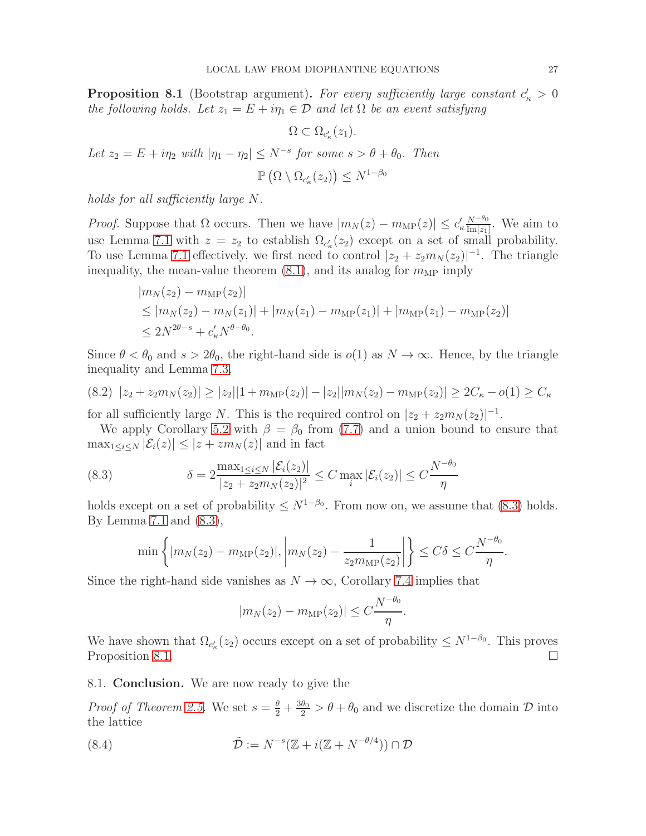<span id="page-26-1"></span>**Proposition 8.1** (Bootstrap argument). For every sufficiently large constant  $c'_{\kappa} > 0$ the following holds. Let  $z_1 = E + i\eta_1 \in \mathcal{D}$  and let  $\Omega$  be an event satisfying

$$
\Omega \subset \Omega_{c'_{\kappa}}(z_1).
$$
  
Let  $z_2 = E + i\eta_2$  with  $|\eta_1 - \eta_2| \le N^{-s}$  for some  $s > \theta + \theta_0$ . Then  

$$
\mathbb{P}\left(\Omega \setminus \Omega_{c'_{\kappa}}(z_2)\right) \le N^{1-\beta_0}
$$

holds for all sufficiently large N.

*Proof.* Suppose that  $\Omega$  occurs. Then we have  $|m_N(z) - m_{\text{MP}}(z)| \leq c'_\kappa \frac{N^{-\theta_0}}{\text{Im}[z_1]}$  $\frac{N^{-\nu_0}}{\text{Im}[z_1]}$ . We aim to use Lemma [7.1](#page-22-1) with  $z = z_2$  to establish  $\Omega_{c'_k}(z_2)$  except on a set of small probability. To use Lemma [7.1](#page-22-1) effectively, we first need to control  $|z_2 + z_2 m_N(z_2)|^{-1}$ . The triangle inequality, the mean-value theorem  $(8.1)$ , and its analog for  $m_{\text{MP}}$  imply

$$
|m_N(z_2) - m_{\text{MP}}(z_2)|
$$
  
\n
$$
\leq |m_N(z_2) - m_N(z_1)| + |m_N(z_1) - m_{\text{MP}}(z_1)| + |m_{\text{MP}}(z_1) - m_{\text{MP}}(z_2)|
$$
  
\n
$$
\leq 2N^{2\theta - s} + c'_\kappa N^{\theta - \theta_0}.
$$

Since  $\theta < \theta_0$  and  $s > 2\theta_0$ , the right-hand side is  $o(1)$  as  $N \to \infty$ . Hence, by the triangle inequality and Lemma [7.3,](#page-23-1)

$$
(8.2) \ \ |z_2 + z_2 m_N(z_2)| \ge |z_2||1 + m_{\text{MP}}(z_2)| - |z_2||m_N(z_2) - m_{\text{MP}}(z_2)| \ge 2C_\kappa - o(1) \ge C_\kappa
$$

for all sufficiently large N. This is the required control on  $|z_2 + z_2 m_N(z_2)|^{-1}$ .

We apply Corollary [5.2](#page-10-2) with  $\beta = \beta_0$  from [\(7.7\)](#page-23-0) and a union bound to ensure that  $\max_{1 \leq i \leq N} |\mathcal{E}_i(z)| \leq |z + z m_N(z)|$  and in fact

(8.3) 
$$
\delta = 2 \frac{\max_{1 \le i \le N} |\mathcal{E}_i(z_2)|}{|z_2 + z_2 m_N(z_2)|^2} \le C \max_i |\mathcal{E}_i(z_2)| \le C \frac{N^{-\theta_0}}{\eta}
$$

holds except on a set of probability  $\leq N^{1-\beta_0}$ . From now on, we assume that [\(8.3\)](#page-26-0) holds. By Lemma [7.1](#page-22-1) and [\(8.3\)](#page-26-0),

<span id="page-26-0"></span>
$$
\min\left\{|m_N(z_2)-m_{\rm MP}(z_2)|,\left|m_N(z_2)-\frac{1}{z_2m_{\rm MP}(z_2)}\right|\right\}\leq C\delta\leq C\frac{N^{-\theta_0}}{\eta}.
$$

Since the right-hand side vanishes as  $N \to \infty$ , Corollary [7.4](#page-23-2) implies that

<span id="page-26-2"></span>
$$
|m_N(z_2) - m_{\rm MP}(z_2)| \le C \frac{N^{-\theta_0}}{\eta}.
$$

We have shown that  $\Omega_{c'_{\kappa}}(z_2)$  occurs except on a set of probability  $\leq N^{1-\beta_0}$ . This proves Proposition [8.1.](#page-26-1)  $\Box$ 

8.1. Conclusion. We are now ready to give the

*Proof of Theorem [2.5.](#page-3-0)* We set  $s = \frac{\theta}{2} + \frac{3\theta_0}{2} > \theta + \theta_0$  and we discretize the domain  $\mathcal D$  into the lattice

(8.4) 
$$
\tilde{\mathcal{D}} := N^{-s}(\mathbb{Z} + i(\mathbb{Z} + N^{-\theta/4})) \cap \mathcal{D}
$$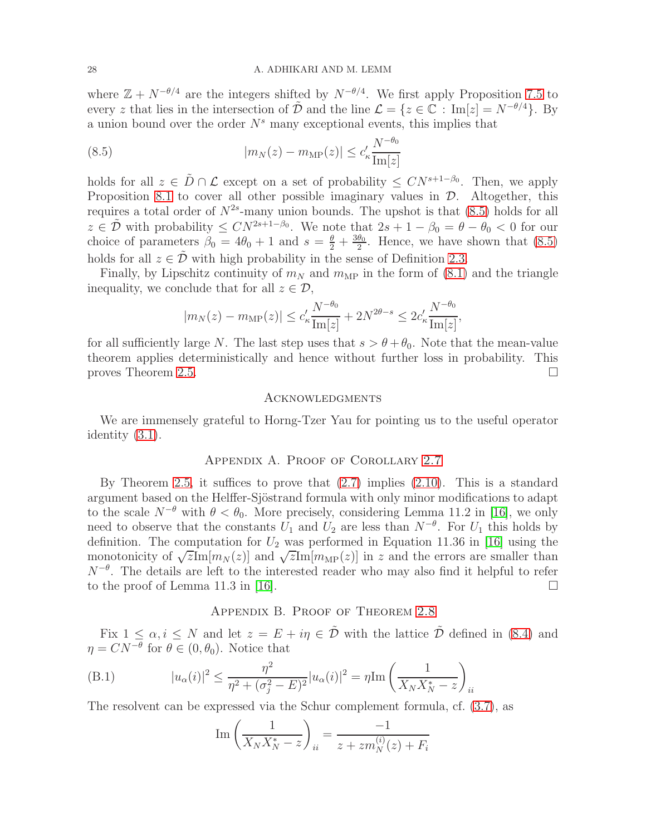where  $\mathbb{Z} + N^{-\theta/4}$  are the integers shifted by  $N^{-\theta/4}$ . We first apply Proposition [7.5](#page-23-3) to every z that lies in the intersection of  $\tilde{\mathcal{D}}$  and the line  $\mathcal{L} = \{z \in \mathbb{C} : Im[z] = N^{-\theta/4}\}.$  By a union bound over the order  $N<sup>s</sup>$  many exceptional events, this implies that

<span id="page-27-0"></span>(8.5) 
$$
|m_N(z) - m_{\text{MP}}(z)| \le c'_{\kappa} \frac{N^{-\theta_0}}{\text{Im}[z]}
$$

holds for all  $z \in \tilde{D} \cap \mathcal{L}$  except on a set of probability  $\leq CN^{s+1-\beta_0}$ . Then, we apply Proposition [8.1](#page-26-1) to cover all other possible imaginary values in  $\mathcal{D}$ . Altogether, this requires a total order of  $N^{2s}$ -many union bounds. The upshot is that  $(8.5)$  holds for all  $z \in \tilde{\mathcal{D}}$  with probability  $\leq CN^{2s+1-\beta_0}$ . We note that  $2s+1-\beta_0=\theta-\theta_0 < 0$  for our choice of parameters  $\beta_0 = 4\theta_0 + 1$  and  $s = \frac{\theta}{2} + \frac{3\theta_0}{2}$  $\frac{\theta_0}{2}$ . Hence, we have shown that  $(8.5)$ holds for all  $z \in \mathcal{D}$  with high probability in the sense of Definition [2.3.](#page-3-2)

Finally, by Lipschitz continuity of  $m_N$  and  $m_{MP}$  in the form of [\(8.1\)](#page-25-1) and the triangle inequality, we conclude that for all  $z \in \mathcal{D}$ ,

$$
|m_N(z) - m_{\mathrm{MP}}(z)| \le c'_\kappa \frac{N^{-\theta_0}}{\mathrm{Im}[z]} + 2N^{2\theta - s} \le 2c'_\kappa \frac{N^{-\theta_0}}{\mathrm{Im}[z]},
$$

for all sufficiently large N. The last step uses that  $s > \theta + \theta_0$ . Note that the mean-value theorem applies deterministically and hence without further loss in probability. This proves Theorem [2.5.](#page-3-0)

#### **ACKNOWLEDGMENTS**

We are immensely grateful to Horng-Tzer Yau for pointing us to the useful operator identity [\(3.1\)](#page-8-0).

## Appendix A. Proof of Corollary [2.7](#page-4-1)

By Theorem [2.5,](#page-3-0) it suffices to prove that [\(2.7\)](#page-3-3) implies [\(2.10\)](#page-4-0). This is a standard argument based on the Helffer-Sjöstrand formula with only minor modifications to adapt to the scale  $N^{-\theta}$  with  $\theta < \theta_0$ . More precisely, considering Lemma 11.2 in [\[16\]](#page-29-2), we only need to observe that the constants  $U_1$  and  $U_2$  are less than  $N^{-\theta}$ . For  $U_1$  this holds by definition. The computation for  $U_2$  was performed in Equation 11.36 in [\[16\]](#page-29-2) using the monotonicity of  $\sqrt{z}$ Im $[m_N(z)]$  and  $\sqrt{z}$ Im $[m_{\text{MP}}(z)]$  in z and the errors are smaller than  $N^{-\theta}$ . The details are left to the interested reader who may also find it helpful to refer to the proof of Lemma 11.3 in [\[16\]](#page-29-2).  $\Box$ 

## Appendix B. Proof of Theorem [2.8](#page-5-0)

Fix  $1 \leq \alpha, i \leq N$  and let  $z = E + i\eta \in \tilde{\mathcal{D}}$  with the lattice  $\tilde{\mathcal{D}}$  defined in [\(8.4\)](#page-26-2) and  $\eta = CN^{-\theta}$  for  $\theta \in (0, \theta_0)$ . Notice that

(B.1) 
$$
|u_{\alpha}(i)|^{2} \leq \frac{\eta^{2}}{\eta^{2} + (\sigma_{j}^{2} - E)^{2}} |u_{\alpha}(i)|^{2} = \eta \text{Im} \left(\frac{1}{X_{N}X_{N}^{*} - z}\right)_{ii}
$$

The resolvent can be expressed via the Schur complement formula, cf. [\(3.7\)](#page-9-5), as

<span id="page-27-1"></span>Im 
$$
\left(\frac{1}{X_N X_N^* - z}\right)_{ii} = \frac{-1}{z + z m_N^{(i)}(z) + F_i}
$$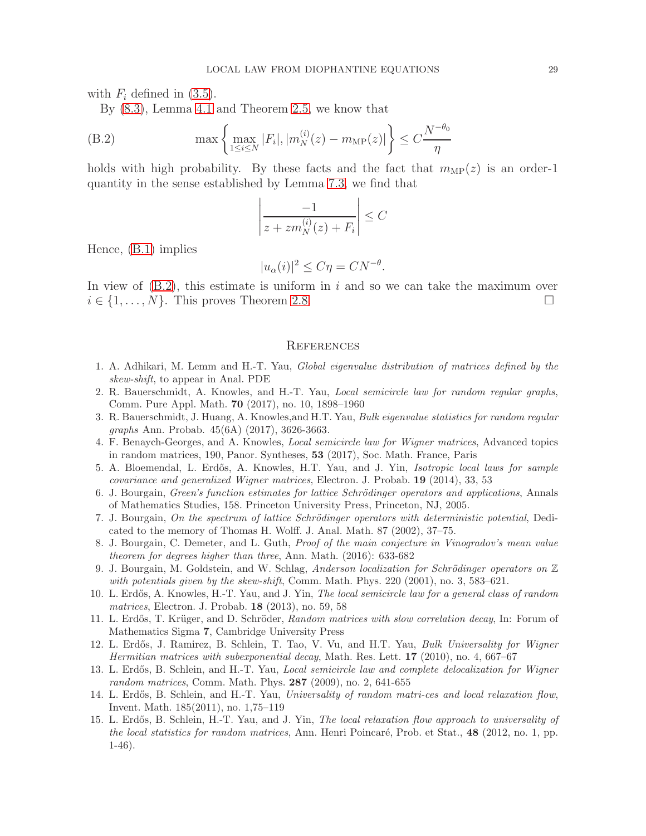with  $F_i$  defined in [\(3.5\)](#page-9-0).

By [\(8.3\)](#page-26-0), Lemma [4.1](#page-9-2) and Theorem [2.5,](#page-3-0) we know that

(B.2) 
$$
\max \left\{ \max_{1 \le i \le N} |F_i|, |m_N^{(i)}(z) - m_{\text{MP}}(z)| \right\} \le C \frac{N^{-\theta_0}}{\eta}
$$

holds with high probability. By these facts and the fact that  $m_{\text{MP}}(z)$  is an order-1 quantity in the sense established by Lemma [7.3,](#page-23-1) we find that

<span id="page-28-13"></span>
$$
\left|\frac{-1}{z+zm_N^{(i)}(z)+F_i}\right| \leq C
$$

Hence, [\(B.1\)](#page-27-1) implies

$$
|u_{\alpha}(i)|^2 \le C\eta = CN^{-\theta}.
$$

In view of  $(B.2)$ , this estimate is uniform in i and so we can take the maximum over  $i \in \{1, \ldots, N\}$ . This proves Theorem [2.8.](#page-5-0)

#### **REFERENCES**

- <span id="page-28-4"></span>1. A. Adhikari, M. Lemm and H.-T. Yau, Global eigenvalue distribution of matrices defined by the skew-shift, to appear in Anal. PDE
- <span id="page-28-6"></span>2. R. Bauerschmidt, A. Knowles, and H.-T. Yau, Local semicircle law for random regular graphs, Comm. Pure Appl. Math. 70 (2017), no. 10, 1898–1960
- <span id="page-28-7"></span>3. R. Bauerschmidt, J. Huang, A. Knowles,and H.T. Yau, Bulk eigenvalue statistics for random regular graphs Ann. Probab. 45(6A) (2017), 3626-3663.
- <span id="page-28-3"></span>4. F. Benaych-Georges, and A. Knowles, Local semicircle law for Wigner matrices, Advanced topics in random matrices, 190, Panor. Syntheses, 53 (2017), Soc. Math. France, Paris
- <span id="page-28-12"></span>5. A. Bloemendal, L. Erdős, A. Knowles, H.T. Yau, and J. Yin, *Isotropic local laws for sample* covariance and generalized Wigner matrices, Electron. J. Probab. 19 (2014), 33, 53
- <span id="page-28-9"></span>6. J. Bourgain, Green's function estimates for lattice Schrödinger operators and applications, Annals of Mathematics Studies, 158. Princeton University Press, Princeton, NJ, 2005.
- <span id="page-28-10"></span>7. J. Bourgain, On the spectrum of lattice Schrödinger operators with deterministic potential, Dedicated to the memory of Thomas H. Wolff. J. Anal. Math. 87 (2002), 37–75.
- <span id="page-28-8"></span>8. J. Bourgain, C. Demeter, and L. Guth, Proof of the main conjecture in Vinogradov's mean value theorem for degrees higher than three, Ann. Math. (2016): 633-682
- <span id="page-28-11"></span>9. J. Bourgain, M. Goldstein, and W. Schlag, Anderson localization for Schrödinger operators on  $\mathbb Z$ with potentials given by the skew-shift, Comm. Math. Phys.  $220$  (2001), no. 3, 583–621.
- 10. L. Erdős, A. Knowles, H.-T. Yau, and J. Yin, *The local semicircle law for a general class of random* matrices, Electron. J. Probab. 18 (2013), no. 59, 58
- <span id="page-28-5"></span>11. L. Erdős, T. Krüger, and D. Schröder, Random matrices with slow correlation decay, In: Forum of Mathematics Sigma 7, Cambridge University Press
- <span id="page-28-0"></span>12. L. Erdős, J. Ramirez, B. Schlein, T. Tao, V. Vu, and H.T. Yau, Bulk Universality for Wigner Hermitian matrices with subexponential decay, Math. Res. Lett. 17 (2010), no. 4, 667–67
- 13. L. Erdős, B. Schlein, and H.-T. Yau, *Local semicircle law and complete delocalization for Wigner* random matrices, Comm. Math. Phys. 287 (2009), no. 2, 641-655
- <span id="page-28-1"></span>14. L. Erdős, B. Schlein, and H.-T. Yau, Universality of random matri-ces and local relaxation flow, Invent. Math. 185(2011), no. 1,75–119
- <span id="page-28-2"></span>15. L. Erdős, B. Schlein, H.-T. Yau, and J. Yin, The local relaxation flow approach to universality of the local statistics for random matrices, Ann. Henri Poincaré, Prob. et Stat.,  $48$  (2012, no. 1, pp. 1-46).